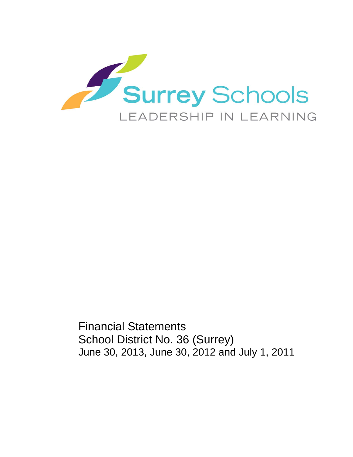

Financial Statements School District No. 36 (Surrey) June 30, 2013, June 30, 2012 and July 1, 2011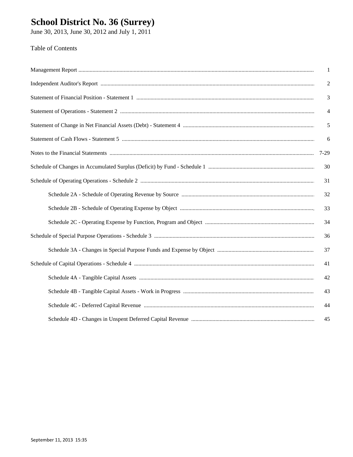# **School District No. 36 (Surrey)**<br>June 30, 2013, June 30, 2012 and July 1, 2011

#### **Table of Contents**

|                                                                                                                                                                                                                               | 1              |
|-------------------------------------------------------------------------------------------------------------------------------------------------------------------------------------------------------------------------------|----------------|
| Independent Auditor's Report manufactured and content and all the Report manufactured and all the Report manufactured and all the Report manufactured and all the Report manufactured and all the Report manufactured and all | 2              |
|                                                                                                                                                                                                                               | 3              |
|                                                                                                                                                                                                                               | $\overline{4}$ |
|                                                                                                                                                                                                                               | 5              |
|                                                                                                                                                                                                                               | 6              |
|                                                                                                                                                                                                                               | $7-29$         |
|                                                                                                                                                                                                                               | 30             |
|                                                                                                                                                                                                                               | 31             |
|                                                                                                                                                                                                                               | 32             |
|                                                                                                                                                                                                                               | 33             |
|                                                                                                                                                                                                                               | 34             |
|                                                                                                                                                                                                                               | 36             |
|                                                                                                                                                                                                                               | 37             |
|                                                                                                                                                                                                                               | 41             |
|                                                                                                                                                                                                                               | 42             |
|                                                                                                                                                                                                                               | 43             |
|                                                                                                                                                                                                                               | 44             |
|                                                                                                                                                                                                                               | 45             |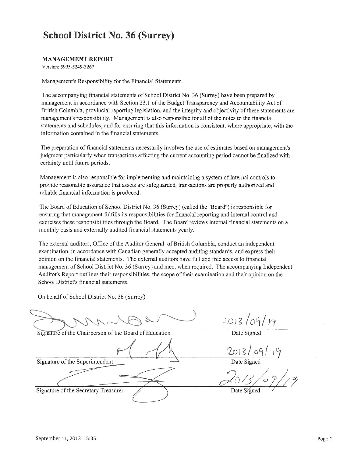#### **MANAGEMENT REPORT**

Version: 5995-5249-3267

Management's Responsibility for the Financial Statements.

The accompanying financial statements of School District No. 36 (Surrey) have been prepared by management in accordance with Section 23.1 of the Budget Transparency and Accountability Act of British Columbia, provincial reporting legislation, and the integrity and objectivity of these statements are management's responsibility. Management is also responsible for all of the notes to the financial statements and schedules, and for ensuring that this information is consistent, where appropriate, with the information contained in the financial statements.

The preparation of financial statements necessarily involves the use of estimates based on management's judgment particularly when transactions affecting the current accounting period cannot be finalized with certainty until future periods.

Management is also responsible for implementing and maintaining a system of internal controls to provide reasonable assurance that assets are safeguarded, transactions are properly authorized and reliable financial information is produced.

The Board of Education of School District No. 36 (Surrey) (called the "Board") is responsible for ensuring that management fulfills its responsibilities for financial reporting and internal control and exercises these responsibilities through the Board. The Board reviews internal financial statements on a monthly basis and externally audited financial statements yearly.

The external auditors, Office of the Auditor General of British Columbia, conduct an independent examination, in accordance with Canadian generally accepted auditing standards, and express their opinion on the financial statements. The external auditors have full and free access to financial management of School District No. 36 (Surrey) and meet when required. The accompanying Independent Auditor's Report outlines their responsibilities, the scope of their examination and their opinion on the School District's financial statements.

On behalf of School District No. 36 (Surrey)

Signature of the Chairperson of the Board of Education

 $\frac{2013}{\text{Date Signal}}$ 

 $2013/09/1$ 

Signature of the Superintendent

Signature of the Secretary Treasurer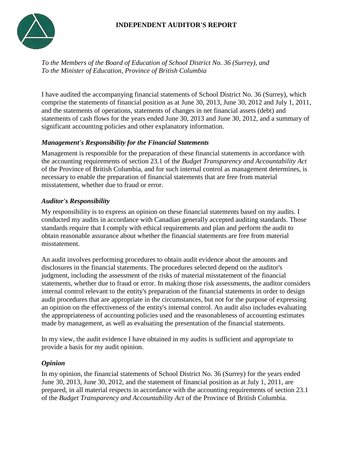### **INDEPENDENT AUDITOR'S REPORT**



*To the Members of the Board of Education of School District No. 36 (Surrey), and To the Minister of Education, Province of British Columbia*

I have audited the accompanying financial statements of School District No. 36 (Surrey), which comprise the statements of financial position as at June 30, 2013, June 30, 2012 and July 1, 2011, and the statements of operations, statements of changes in net financial assets (debt) and statements of cash flows for the years ended June 30, 2013 and June 30, 2012, and a summary of significant accounting policies and other explanatory information.

#### *Management's Responsibility for the Financial Statements*

Management is responsible for the preparation of these financial statements in accordance with the accounting requirements of section 23.1 of the *Budget Transparency and Accountability Act*  of the Province of British Columbia, and for such internal control as management determines, is necessary to enable the preparation of financial statements that are free from material misstatement, whether due to fraud or error.

#### *Auditor's Responsibility*

My responsibility is to express an opinion on these financial statements based on my audits. I conducted my audits in accordance with Canadian generally accepted auditing standards. Those standards require that I comply with ethical requirements and plan and perform the audit to obtain reasonable assurance about whether the financial statements are free from material misstatement.

An audit involves performing procedures to obtain audit evidence about the amounts and disclosures in the financial statements. The procedures selected depend on the auditor's judgment, including the assessment of the risks of material misstatement of the financial statements, whether due to fraud or error. In making those risk assessments, the auditor considers internal control relevant to the entity's preparation of the financial statements in order to design audit procedures that are appropriate in the circumstances, but not for the purpose of expressing an opinion on the effectiveness of the entity's internal control. An audit also includes evaluating the appropriateness of accounting policies used and the reasonableness of accounting estimates made by management, as well as evaluating the presentation of the financial statements.

In my view, the audit evidence I have obtained in my audits is sufficient and appropriate to provide a basis for my audit opinion.

#### *Opinion*

In my opinion, the financial statements of School District No. 36 (Surrey) for the years ended June 30, 2013, June 30, 2012, and the statement of financial position as at July 1, 2011, are prepared, in all material respects in accordance with the accounting requirements of section 23.1 of the *Budget Transparency and Accountability Act* of the Province of British Columbia.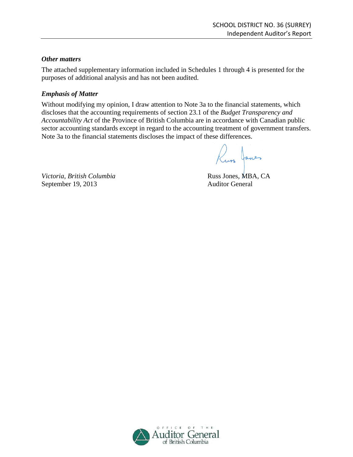#### *Other matters*

The attached supplementary information included in Schedules 1 through 4 is presented for the purposes of additional analysis and has not been audited.

#### *Emphasis of Matter*

Without modifying my opinion, I draw attention to Note 3a to the financial statements, which discloses that the accounting requirements of section 23.1 of the *Budget Transparency and Accountability Act* of the Province of British Columbia are in accordance with Canadian public sector accounting standards except in regard to the accounting treatment of government transfers. Note 3a to the financial statements discloses the impact of these differences.

Russ Janes

*Victoria, British Columbia* Russ Jones, MBA, CA September 19, 2013 Auditor General

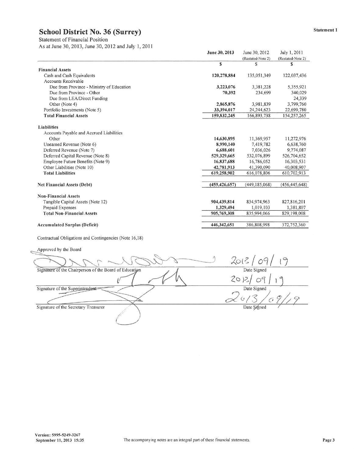**Statement of Financial Position** 

As at June 30, 2013, June 30, 2012 and July 1, 2011

|                                                        | June 30, 2013   | June 30, 2012               | July 1, 2011      |
|--------------------------------------------------------|-----------------|-----------------------------|-------------------|
|                                                        |                 | (Restated-Note 2)           | (Restated-Note 2) |
|                                                        | $\mathbf{s}$    | S                           | \$                |
| <b>Financial Assets</b>                                |                 |                             |                   |
| Cash and Cash Equivalents                              | 120,278,884     | 135,051,349                 | 122,037,436       |
| <b>Accounts Receivable</b>                             |                 |                             |                   |
| Due from Province - Ministry of Education              | 3,223,076       | 3,381,228                   | 5,355,921         |
| Due from Province - Other                              | 70,392          | 234,699                     | 340,029           |
| Due from LEA/Direct Funding                            |                 |                             | 24,339            |
| Other (Note 4)                                         | 2,865,876       | 3,981,839                   | 3,799,760         |
| Portfolio Investments (Note 5)                         | 33,394,017      | 24, 244, 623                | 22,699,780        |
| <b>Total Financial Assets</b>                          | 159,832,245     | 166,893,738                 | 154,257,265       |
| Liabilities                                            |                 |                             |                   |
| Accounts Payable and Accrued Liabilities               |                 |                             |                   |
| Other                                                  | 14,630,895      | 11,369,957                  | 11,272,976        |
| Unearned Revenue (Note 6)                              | 8,990,140       | 7,419,782                   | 6,638,760         |
| Deferred Revenue (Note 7)                              | 6,688,601       | 7,036,026                   | 9,774,087         |
| Deferred Capital Revenue (Note 8)                      | 529,329,665     | 532,076,899                 | 526,704,652       |
| Employee Future Benefits (Note 9)                      | 16,837,688      | 16,786,052                  | 16,303,531        |
| Other Liabilities (Note 10)                            | 42,781,913      | 41,390,090                  | 40,008,907        |
| <b>Total Liabilities</b>                               | 619,258,902     | 616,078,806                 | 610,702,913       |
| <b>Net Financial Assets (Debt)</b>                     | (459, 426, 657) | (449, 185, 068)             | (456, 445, 648)   |
| <b>Non-Financial Assets</b>                            |                 |                             |                   |
| Tangible Capital Assets (Note 12)                      | 904,439,814     | 834,974,963                 | 827,816,201       |
| Prepaid Expenses                                       | 1,329,494       | 1,019,103                   | 1,381,807         |
| <b>Total Non-Financial Assets</b>                      | 905,769,308     | 835,994,066                 | 829,198,008       |
| <b>Accumulated Surplus (Deficit)</b>                   | 446,342,651     | 386,808,998                 | 372,752,360       |
|                                                        |                 |                             |                   |
| Contractual Obligations and Contingencies (Note 16,18) |                 |                             |                   |
| Approved by the Board                                  |                 |                             |                   |
|                                                        |                 | $2013/09/19$<br>Date Signed |                   |
| Signature of the Chairperson of the Board of Education |                 |                             |                   |
|                                                        |                 | 2013/09                     |                   |
| Signature of the Superintendent                        |                 | Date Signed                 |                   |

Signature of the Secretary Treasurer

 $\frac{1}{2}$ Date Signed

 $\propto$ 

 $\sigma$ 9

 $19$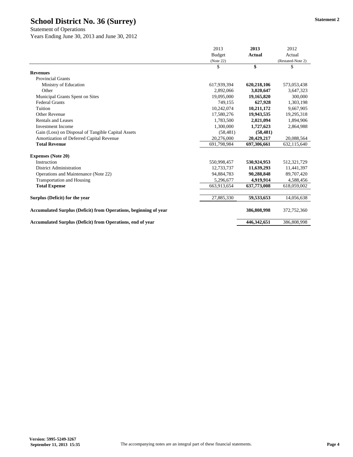Statement of Operations

Years Ending June 30, 2013 and June 30, 2012

|                                                                         | 2013          | 2013          | 2012              |
|-------------------------------------------------------------------------|---------------|---------------|-------------------|
|                                                                         | <b>Budget</b> | <b>Actual</b> | Actual            |
|                                                                         | (Note 22)     |               | (Restated-Note 2) |
|                                                                         | \$            | \$            | \$                |
| <b>Revenues</b>                                                         |               |               |                   |
| <b>Provincial Grants</b>                                                |               |               |                   |
| Ministry of Education                                                   | 617,939,394   | 620,218,106   | 573,053,438       |
| Other                                                                   | 2,892,066     | 3,020,647     | 3,647,323         |
| Municipal Grants Spent on Sites                                         | 19,095,000    | 19,165,820    | 300,000           |
| <b>Federal Grants</b>                                                   | 749,155       | 627,928       | 1,303,198         |
| Tuition                                                                 | 10,242,074    | 10,211,172    | 9,667,905         |
| Other Revenue                                                           | 17.580.276    | 19,943,535    | 19,295,318        |
| Rentals and Leases                                                      | 1,783,500     | 2,021,094     | 1,894,906         |
| <b>Investment Income</b>                                                | 1,300,000     | 1,727,623     | 2,864,988         |
| Gain (Loss) on Disposal of Tangible Capital Assets                      | (58, 481)     | (58, 481)     |                   |
| Amortization of Deferred Capital Revenue                                | 20,276,000    | 20,429,217    | 20,088,564        |
| <b>Total Revenue</b>                                                    | 691,798,984   | 697,306,661   | 632,115,640       |
| <b>Expenses (Note 20)</b>                                               |               |               |                   |
| Instruction                                                             | 550,998,457   | 530,924,953   | 512,321,729       |
| District Administration                                                 | 12,733,737    | 11,639,293    | 11,441,397        |
| Operations and Maintenance (Note 22)                                    | 94,884,783    | 90,288,848    | 89,707,420        |
| <b>Transportation and Housing</b>                                       | 5,296,677     | 4,919,914     | 4,588,456         |
| <b>Total Expense</b>                                                    | 663,913,654   | 637,773,008   | 618,059,002       |
| Surplus (Deficit) for the year                                          | 27,885,330    | 59,533,653    | 14,056,638        |
| <b>Accumulated Surplus (Deficit) from Operations, beginning of year</b> |               | 386,808,998   | 372,752,360       |
| <b>Accumulated Surplus (Deficit) from Operations, end of year</b>       |               | 446.342.651   | 386,808,998       |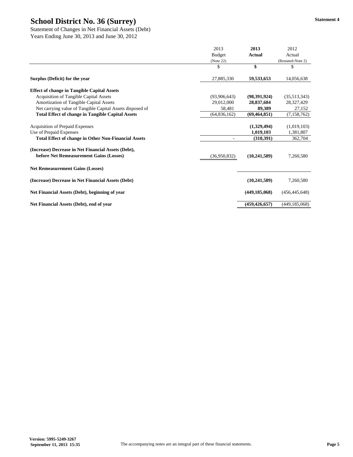Statement of Changes in Net Financial Assets (Debt) Years Ending June 30, 2013 and June 30, 2012

|                                                                                                | 2013<br><b>Budget</b><br>(Note 22) | 2013<br><b>Actual</b> | 2012<br>Actual<br>(Restated-Note 2) |
|------------------------------------------------------------------------------------------------|------------------------------------|-----------------------|-------------------------------------|
|                                                                                                | \$                                 | \$                    | \$                                  |
| Surplus (Deficit) for the year                                                                 | 27,885,330                         | 59,533,653            | 14,056,638                          |
| <b>Effect of change in Tangible Capital Assets</b>                                             |                                    |                       |                                     |
| <b>Acquisition of Tangible Capital Assets</b>                                                  | (93,906,643)                       | (98,391,924)          | (35,513,343)                        |
| Amortization of Tangible Capital Assets                                                        | 29,012,000                         | 28,837,684            | 28,327,429                          |
| Net carrying value of Tangible Capital Assets disposed of                                      | 58,481                             | 89,389                | 27,152                              |
| <b>Total Effect of change in Tangible Capital Assets</b>                                       | (64, 836, 162)                     | (69, 464, 851)        | (7,158,762)                         |
| <b>Acquisition of Prepaid Expenses</b>                                                         |                                    | (1,329,494)           | (1,019,103)                         |
| Use of Prepaid Expenses                                                                        |                                    | 1,019,103             | 1,381,807                           |
| <b>Total Effect of change in Other Non-Financial Assets</b>                                    |                                    | (310,391)             | 362,704                             |
| (Increase) Decrease in Net Financial Assets (Debt),<br>before Net Remeasurement Gains (Losses) | (36,950,832)                       | (10, 241, 589)        | 7,260,580                           |
| <b>Net Remeasurement Gains (Losses)</b>                                                        |                                    |                       |                                     |
| (Increase) Decrease in Net Financial Assets (Debt)                                             |                                    | (10, 241, 589)        | 7,260,580                           |
| Net Financial Assets (Debt), beginning of year                                                 |                                    | (449, 185, 068)       | (456, 445, 648)                     |
| Net Financial Assets (Debt), end of year                                                       |                                    | (459, 426, 657)       | (449, 185, 068)                     |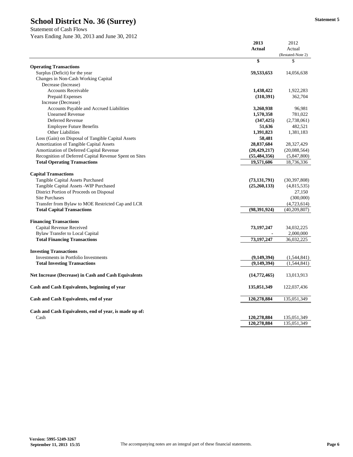Statement of Cash Flows Years Ending June 30, 2013 and June 30, 2012

|                                                             | 2013<br><b>Actual</b> | 2012<br>Actual          |
|-------------------------------------------------------------|-----------------------|-------------------------|
|                                                             | \$                    | (Restated-Note 2)<br>\$ |
| <b>Operating Transactions</b>                               |                       |                         |
| Surplus (Deficit) for the year                              | 59,533,653            | 14,056,638              |
| Changes in Non-Cash Working Capital                         |                       |                         |
| Decrease (Increase)                                         |                       |                         |
| <b>Accounts Receivable</b>                                  | 1,438,422             | 1,922,283               |
| Prepaid Expenses                                            | (310, 391)            | 362,704                 |
| Increase (Decrease)                                         |                       |                         |
| <b>Accounts Payable and Accrued Liabilities</b>             | 3,260,938             | 96,981                  |
| <b>Unearned Revenue</b>                                     | 1,570,358             | 781,022                 |
| Deferred Revenue                                            | (347, 425)            | (2,738,061)             |
| <b>Employee Future Benefits</b>                             | 51,636                | 482,521                 |
| <b>Other Liabilities</b>                                    | 1,391,823             | 1,381,183               |
| Loss (Gain) on Disposal of Tangible Capital Assets          | 58,481                |                         |
| Amortization of Tangible Capital Assets                     | 28,837,684            | 28,327,429              |
| Amortization of Deferred Capital Revenue                    | (20, 429, 217)        | (20,088,564)            |
| Recognition of Deferred Capital Revenue Spent on Sites      | (55, 484, 356)        | (5,847,800)             |
| <b>Total Operating Transactions</b>                         | 19,571,606            | 18,736,336              |
|                                                             |                       |                         |
| <b>Capital Transactions</b>                                 |                       |                         |
| Tangible Capital Assets Purchased                           | (73, 131, 791)        | (30, 397, 808)          |
| Tangible Capital Assets - WIP Purchased                     | (25,260,133)          | (4,815,535)             |
| District Portion of Proceeds on Disposal                    |                       | 27,150                  |
| <b>Site Purchases</b>                                       |                       | (300,000)               |
| Transfer from Bylaw to MOE Restricted Cap and LCR           |                       | (4,723,614)             |
| <b>Total Capital Transactions</b>                           | (98, 391, 924)        | (40, 209, 807)          |
|                                                             |                       |                         |
| <b>Financing Transactions</b><br>Capital Revenue Received   | 73, 197, 247          | 34,032,225              |
| <b>Bylaw Transfer to Local Capital</b>                      |                       |                         |
|                                                             | 73,197,247            | 2,000,000               |
| <b>Total Financing Transactions</b>                         |                       | 36,032,225              |
| <b>Investing Transactions</b>                               |                       |                         |
| Investments in Portfolio Investments                        | (9,149,394)           | (1,544,841)             |
| <b>Total Investing Transactions</b>                         | (9, 149, 394)         | (1,544,841)             |
| <b>Net Increase (Decrease) in Cash and Cash Equivalents</b> | (14, 772, 465)        | 13,013,913              |
| Cash and Cash Equivalents, beginning of year                | 135,051,349           | 122,037,436             |
|                                                             |                       |                         |
| Cash and Cash Equivalents, end of year                      | 120,278,884           | 135,051,349             |
| Cash and Cash Equivalents, end of year, is made up of:      |                       |                         |
| Cash                                                        | 120,278,884           | 135,051,349             |
|                                                             | 120,278,884           | 135,051,349             |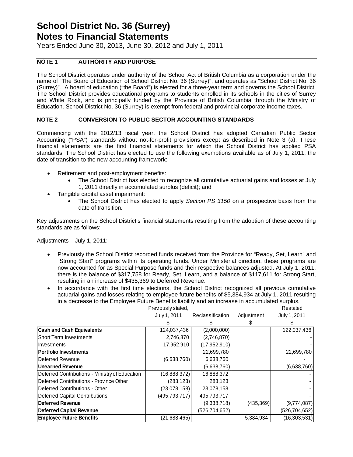Years Ended June 30, 2013, June 30, 2012 and July 1, 2011

#### **NOTE 1 AUTHORITY AND PURPOSE**

The School District operates under authority of the School Act of British Columbia as a corporation under the name of "The Board of Education of School District No. 36 (Surrey)", and operates as "School District No. 36 (Surrey)". A board of education ("the Board") is elected for a three-year term and governs the School District. The School District provides educational programs to students enrolled in its schools in the cities of Surrey and White Rock, and is principally funded by the Province of British Columbia through the Ministry of Education. School District No. 36 (Surrey) is exempt from federal and provincial corporate income taxes.

#### **NOTE 2 CONVERSION TO PUBLIC SECTOR ACCOUNTING STANDARDS**

Commencing with the 2012/13 fiscal year, the School District has adopted Canadian Public Sector Accounting ("PSA") standards without not-for-profit provisions except as described in Note 3 (a). These financial statements are the first financial statements for which the School District has applied PSA standards. The School District has elected to use the following exemptions available as of July 1, 2011, the date of transition to the new accounting framework:

- Retirement and post-employment benefits:
	- The School District has elected to recognize all cumulative actuarial gains and losses at July 1, 2011 directly in accumulated surplus (deficit); and
- Tangible capital asset impairment:
	- The School District has elected to apply *Section PS 3150* on a prospective basis from the date of transition*.*

Key adjustments on the School District's financial statements resulting from the adoption of these accounting standards are as follows:

Adjustments – July 1, 2011:

- Previously the School District recorded funds received from the Province for "Ready, Set, Learn" and "Strong Start" programs within its operating funds. Under Ministerial direction, these programs are now accounted for as Special Purpose funds and their respective balances adjusted. At July 1, 2011, there is the balance of \$317,758 for Ready, Set, Learn, and a balance of \$117,611 for Strong Start, resulting in an increase of \$435,369 to Deferred Revenue.
- In accordance with the first time elections, the School District recognized all previous cumulative actuarial gains and losses relating to employee future benefits of \$5,384,934 at July 1, 2011 resulting in a decrease to the Employee Future Benefits liability and an increase in accumulated surplus*.*

|                                                | Previously stated, |                  |            | Restated        |
|------------------------------------------------|--------------------|------------------|------------|-----------------|
|                                                | July 1, 2011       | Reclassification | Adjustment | July 1, 2011    |
|                                                |                    |                  |            |                 |
| <b>Cash and Cash Equivalents</b>               | 124,037,436        | (2,000,000)      |            | 122,037,436     |
| Short Term Investments                         | 2,746,870          | (2,746,870)      |            |                 |
| Ilnvestments                                   | 17,952,910         | (17,952,910)     |            |                 |
| <b>Portfolio Investments</b>                   |                    | 22,699,780       |            | 22,699,780      |
| <b>IDeferred Revenue</b>                       | (6,638,760)        | 6,638,760        |            |                 |
| Unearned Revenue                               |                    | (6,638,760)      |            | (6,638,760)     |
| Deferred Contributions - Ministry of Education | (16,888,372)       | 16,888,372       |            |                 |
| Deferred Contributions - Province Other        | (283, 123)         | 283,123          |            |                 |
| Deferred Contributions - Other                 | (23,078,158)       | 23,078,158       |            |                 |
| Deferred Capital Contributions                 | (495, 793, 717)    | 495,793,717      |            |                 |
| Deferred Revenue                               |                    | (9,338,718)      | (435, 369) | (9,774,087)     |
| <b>Deferred Capital Revenue</b>                |                    | (526, 704, 652)  |            | (526, 704, 652) |
| <b>Employee Future Benefits</b>                | (21,688,465)       |                  | 5,384,934  | (16, 303, 531)  |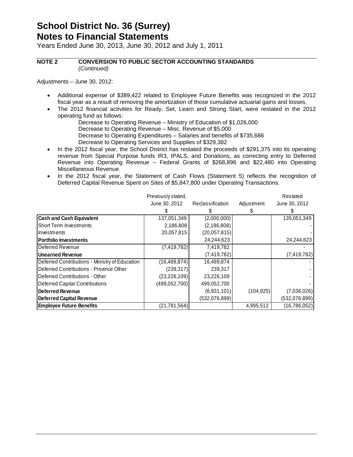Years Ended June 30, 2013, June 30, 2012 and July 1, 2011

**NOTE 2 CONVERSION TO PUBLIC SECTOR ACCOUNTING STANDARDS**   *(Continued)*

Adjustments – June 30, 2012:

- Additional expense of \$389,422 related to Employee Future Benefits was recognized in the 2012 fiscal year as a result of removing the amortization of those cumulative actuarial gains and losses.
- The 2012 financial activities for Ready, Set, Learn and Strong Start, were restated in the 2012 operating fund as follows:
	- Decrease to Operating Revenue Ministry of Education of \$1,026,000
	- Decrease to Operating Revenue Misc. Revenue of \$5,000
	- Decrease to Operating Expenditures Salaries and benefits of \$735,686
	- Decrease to Operating Services and Supplies of \$329,382
- In the 2012 fiscal year, the School District has restated the proceeds of \$291,375 into its operating revenue from Special Purpose funds IR3, IPALS, and Donations, as correcting entry to Deferred Revenue into Operating Revenue – Federal Grants of \$268,896 and \$22,480 into Operating Miscellaneous Revenue.
- In the 2012 fiscal year, the Statement of Cash Flows (Statement 5) reflects the recognition of Deferred Capital Revenue Spent on Sites of \$5,847,800 under Operating Transactions.

|                                                | Previously stated, |                  |            | Restated       |
|------------------------------------------------|--------------------|------------------|------------|----------------|
|                                                | June 30, 2012      | Reclassification | Adjustment | June 30, 2012  |
|                                                |                    |                  |            |                |
| <b>Cash and Cash Equivalent</b>                | 137,051,349        | (2,000,000)      |            | 135,051,349    |
| <b>Short Term Investments</b>                  | 2,186,808          | (2, 186, 808)    |            |                |
| <b>Investments</b>                             | 20,057,815         | (20,057,815)     |            |                |
| <b>Portfolio Investments</b>                   |                    | 24,244,623       |            | 24,244,623     |
| <b>IDeferred Revenue</b>                       | (7, 419, 782)      | 7,419,782        |            |                |
| Unearned Revenue                               |                    | (7, 419, 782)    |            | (7, 419, 782)  |
| Deferred Contributions - Ministry of Education | (16, 489, 874)     | 16,489,874       |            |                |
| Deferred Contributions - Province Other        | (239, 317)         | 239,317          |            |                |
| <b>IDeferred Contributions - Other</b>         | (23, 226, 109)     | 23,226,109       |            |                |
| Deferred Capital Contributions                 | (499, 052, 700)    | 499,052,700      |            |                |
| Deferred Revenue                               |                    | (6,931,101)      | (104, 925) | (7,036,026)    |
| Deferred Capital Revenue                       |                    | (532,076,899)    |            | (532,076,899)  |
| <b>Employee Future Benefits</b>                | (21, 781, 564)     |                  | 4,995,512  | (16, 786, 052) |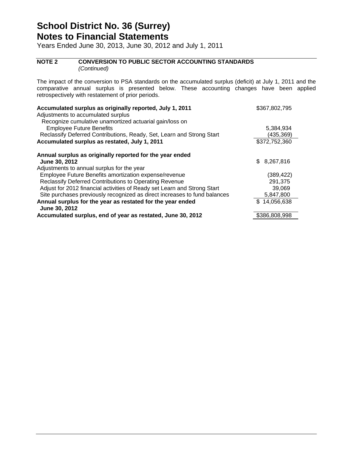Years Ended June 30, 2013, June 30, 2012 and July 1, 2011

#### **NOTE 2 CONVERSION TO PUBLIC SECTOR ACCOUNTING STANDARDS**   *(Continued)*

The impact of the conversion to PSA standards on the accumulated surplus (deficit) at July 1, 2011 and the comparative annual surplus is presented below. These accounting changes have been applied retrospectively with restatement of prior periods.

| Accumulated surplus as originally reported, July 1, 2011<br>Adjustments to accumulated surplus | \$367,802,795 |
|------------------------------------------------------------------------------------------------|---------------|
| Recognize cumulative unamortized actuarial gain/loss on                                        |               |
| <b>Employee Future Benefits</b>                                                                | 5,384,934     |
| Reclassify Deferred Contributions, Ready, Set, Learn and Strong Start                          | (435,369)     |
| Accumulated surplus as restated, July 1, 2011                                                  | \$372,752,360 |
| Annual surplus as originally reported for the year ended                                       |               |
| June 30, 2012                                                                                  | \$8,267,816   |
| Adjustments to annual surplus for the year                                                     |               |
| Employee Future Benefits amortization expense/revenue                                          | (389, 422)    |
| Reclassify Deferred Contributions to Operating Revenue                                         | 291,375       |
| Adjust for 2012 financial activities of Ready set Learn and Strong Start                       | 39,069        |
| Site purchases previously recognized as direct increases to fund balances                      | 5,847,800     |
| Annual surplus for the year as restated for the year ended<br>June 30, 2012                    | \$14,056,638  |
| Accumulated surplus, end of year as restated, June 30, 2012                                    | \$386,808,998 |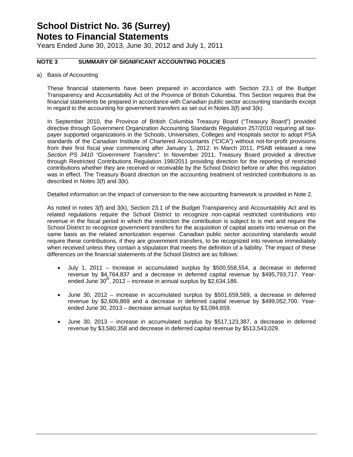Years Ended June 30, 2013, June 30, 2012 and July 1, 2011

#### **NOTE 3 SUMMARY OF SIGNIFICANT ACCOUNTING POLICIES**

a) Basis of Accounting

These financial statements have been prepared in accordance with Section 23.1 of the Budget Transparency and Accountability Act of the Province of British Columbia. This Section requires that the financial statements be prepared in accordance with Canadian public sector accounting standards except in regard to the accounting for government transfers as set out in Notes 3(f) and 3(k).

In September 2010, the Province of British Columbia Treasury Board ("Treasury Board") provided directive through Government Organization Accounting Standards Regulation 257/2010 requiring all taxpayer supported organizations in the Schools, Universities, Colleges and Hospitals sector to adopt PSA standards of the Canadian Institute of Chartered Accountants ("CICA") without not-for-profit provisions from their first fiscal year commencing after January 1, 2012. In March 2011, PSAB released a new *Section PS 3410 "Government Transfers".* In November 2011, Treasury Board provided a directive through Restricted Contributions Regulation 198/2011 providing direction for the reporting of restricted contributions whether they are received or receivable by the School District before or after this regulation was in effect. The Treasury Board direction on the accounting treatment of restricted contributions is as described in Notes 3(f) and 3(k).

Detailed information on the impact of conversion to the new accounting framework is provided in Note 2.

As noted in notes 3(f) and 3(k), Section 23.1 of the Budget Transparency and Accountability Act and its related regulations require the School District to recognize non-capital restricted contributions into revenue in the fiscal period in which the restriction the contribution is subject to is met and require the School District to recognize government transfers for the acquisition of capital assets into revenue on the same basis as the related amortization expense. Canadian public sector accounting standards would require these contributions, if they are government transfers, to be recognized into revenue immediately when received unless they contain a stipulation that meets the definition of a liability. The impact of these differences on the financial statements of the School District are as follows:

- July 1, 2011 Increase in accumulated surplus by \$500,558,554, a decrease in deferred revenue by \$4,764,837 and a decrease in deferred capital revenue by \$495,793,717. Yearended June  $30<sup>th</sup>$ , 2012 – increase in annual surplus by \$2,634,186.
- June 30, 2012 increase in accumulated surplus by \$501,659,569, a decrease in deferred revenue by \$2,606,869 and a decrease in deferred capital revenue by \$499,052,700. Yearended June 30, 2013 – decrease annual surplus by \$3,094,659.
- June 30, 2013 increase in accumulated surplus by \$517,123,387, a decrease in deferred revenue by \$3,580,358 and decrease in deferred capital revenue by \$513,543,029.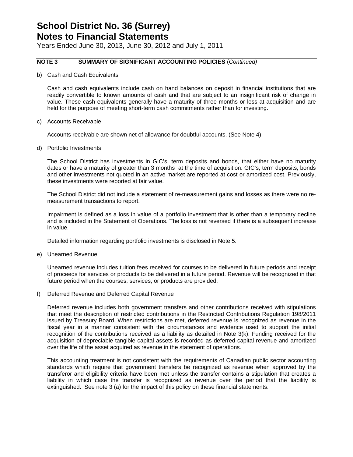Years Ended June 30, 2013, June 30, 2012 and July 1, 2011

#### **NOTE 3 SUMMARY OF SIGNIFICANT ACCOUNTING POLICIES** (*Continued)*

b) Cash and Cash Equivalents

Cash and cash equivalents include cash on hand balances on deposit in financial institutions that are readily convertible to known amounts of cash and that are subject to an insignificant risk of change in value. These cash equivalents generally have a maturity of three months or less at acquisition and are held for the purpose of meeting short-term cash commitments rather than for investing.

c) Accounts Receivable

Accounts receivable are shown net of allowance for doubtful accounts. (See Note 4)

d) Portfolio Investments

The School District has investments in GIC's, term deposits and bonds, that either have no maturity dates or have a maturity of greater than 3 months at the time of acquisition. GIC's, term deposits, bonds and other investments not quoted in an active market are reported at cost or amortized cost. Previously, these investments were reported at fair value.

The School District did not include a statement of re-measurement gains and losses as there were no remeasurement transactions to report.

Impairment is defined as a loss in value of a portfolio investment that is other than a temporary decline and is included in the Statement of Operations. The loss is not reversed if there is a subsequent increase in value.

Detailed information regarding portfolio investments is disclosed in Note 5.

e) Unearned Revenue

Unearned revenue includes tuition fees received for courses to be delivered in future periods and receipt of proceeds for services or products to be delivered in a future period. Revenue will be recognized in that future period when the courses, services, or products are provided.

f) Deferred Revenue and Deferred Capital Revenue

Deferred revenue includes both government transfers and other contributions received with stipulations that meet the description of restricted contributions in the Restricted Contributions Regulation 198/2011 issued by Treasury Board. When restrictions are met, deferred revenue is recognized as revenue in the fiscal year in a manner consistent with the circumstances and evidence used to support the initial recognition of the contributions received as a liability as detailed in Note 3(k). Funding received for the acquisition of depreciable tangible capital assets is recorded as deferred capital revenue and amortized over the life of the asset acquired as revenue in the statement of operations.

This accounting treatment is not consistent with the requirements of Canadian public sector accounting standards which require that government transfers be recognized as revenue when approved by the transferor and eligibility criteria have been met unless the transfer contains a stipulation that creates a liability in which case the transfer is recognized as revenue over the period that the liability is extinguished. See note 3 (a) for the impact of this policy on these financial statements.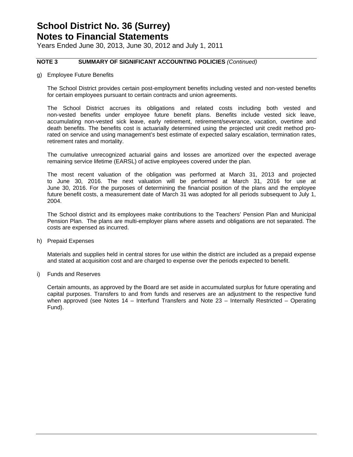Years Ended June 30, 2013, June 30, 2012 and July 1, 2011

#### **NOTE 3 SUMMARY OF SIGNIFICANT ACCOUNTING POLICIES** *(Continued)*

g) Employee Future Benefits

The School District provides certain post-employment benefits including vested and non-vested benefits for certain employees pursuant to certain contracts and union agreements.

The School District accrues its obligations and related costs including both vested and non-vested benefits under employee future benefit plans. Benefits include vested sick leave, accumulating non-vested sick leave, early retirement, retirement/severance, vacation, overtime and death benefits. The benefits cost is actuarially determined using the projected unit credit method prorated on service and using management's best estimate of expected salary escalation, termination rates, retirement rates and mortality.

The cumulative unrecognized actuarial gains and losses are amortized over the expected average remaining service lifetime (EARSL) of active employees covered under the plan.

The most recent valuation of the obligation was performed at March 31, 2013 and projected to June 30, 2016. The next valuation will be performed at March 31, 2016 for use at June 30, 2016. For the purposes of determining the financial position of the plans and the employee future benefit costs, a measurement date of March 31 was adopted for all periods subsequent to July 1, 2004.

The School district and its employees make contributions to the Teachers' Pension Plan and Municipal Pension Plan. The plans are multi-employer plans where assets and obligations are not separated. The costs are expensed as incurred.

h) Prepaid Expenses

Materials and supplies held in central stores for use within the district are included as a prepaid expense and stated at acquisition cost and are charged to expense over the periods expected to benefit.

i) Funds and Reserves

Certain amounts, as approved by the Board are set aside in accumulated surplus for future operating and capital purposes. Transfers to and from funds and reserves are an adjustment to the respective fund when approved (see Notes 14 – Interfund Transfers and Note 23 – Internally Restricted – Operating Fund).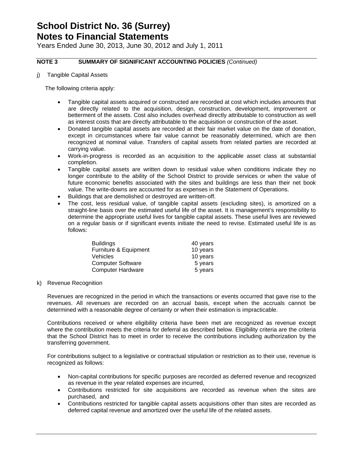Years Ended June 30, 2013, June 30, 2012 and July 1, 2011

#### **NOTE 3 SUMMARY OF SIGNIFICANT ACCOUNTING POLICIES** *(Continued)*

j) Tangible Capital Assets

The following criteria apply:

- Tangible capital assets acquired or constructed are recorded at cost which includes amounts that are directly related to the acquisition, design, construction, development, improvement or betterment of the assets. Cost also includes overhead directly attributable to construction as well as interest costs that are directly attributable to the acquisition or construction of the asset.
- Donated tangible capital assets are recorded at their fair market value on the date of donation, except in circumstances where fair value cannot be reasonably determined, which are then recognized at nominal value. Transfers of capital assets from related parties are recorded at carrying value.
- Work-in-progress is recorded as an acquisition to the applicable asset class at substantial completion.
- Tangible capital assets are written down to residual value when conditions indicate they no longer contribute to the ability of the School District to provide services or when the value of future economic benefits associated with the sites and buildings are less than their net book value. The write-downs are accounted for as expenses in the Statement of Operations.
- Buildings that are demolished or destroyed are written-off.
- The cost, less residual value, of tangible capital assets (excluding sites), is amortized on a straight-line basis over the estimated useful life of the asset. It is management's responsibility to determine the appropriate useful lives for tangible capital assets. These useful lives are reviewed on a regular basis or if significant events initiate the need to revise. Estimated useful life is as follows:

| <b>Buildings</b>         | 40 years |
|--------------------------|----------|
| Furniture & Equipment    | 10 years |
| <b>Vehicles</b>          | 10 years |
| <b>Computer Software</b> | 5 years  |
| <b>Computer Hardware</b> | 5 years  |

#### k) Revenue Recognition

Revenues are recognized in the period in which the transactions or events occurred that gave rise to the revenues. All revenues are recorded on an accrual basis, except when the accruals cannot be determined with a reasonable degree of certainty or when their estimation is impracticable.

Contributions received or where eligibility criteria have been met are recognized as revenue except where the contribution meets the criteria for deferral as described below. Eligibility criteria are the criteria that the School District has to meet in order to receive the contributions including authorization by the transferring government.

For contributions subject to a legislative or contractual stipulation or restriction as to their use, revenue is recognized as follows:

- Non-capital contributions for specific purposes are recorded as deferred revenue and recognized as revenue in the year related expenses are incurred,
- Contributions restricted for site acquisitions are recorded as revenue when the sites are purchased, and
- Contributions restricted for tangible capital assets acquisitions other than sites are recorded as deferred capital revenue and amortized over the useful life of the related assets.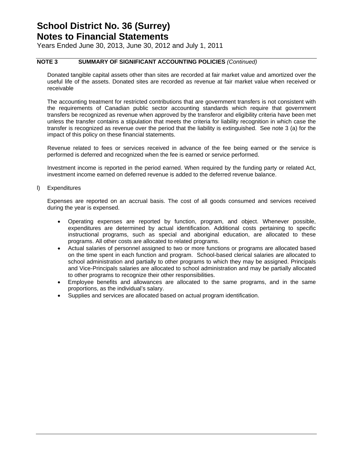Years Ended June 30, 2013, June 30, 2012 and July 1, 2011

#### **NOTE 3 SUMMARY OF SIGNIFICANT ACCOUNTING POLICIES** *(Continued)*

Donated tangible capital assets other than sites are recorded at fair market value and amortized over the useful life of the assets. Donated sites are recorded as revenue at fair market value when received or receivable

The accounting treatment for restricted contributions that are government transfers is not consistent with the requirements of Canadian public sector accounting standards which require that government transfers be recognized as revenue when approved by the transferor and eligibility criteria have been met unless the transfer contains a stipulation that meets the criteria for liability recognition in which case the transfer is recognized as revenue over the period that the liability is extinguished. See note 3 (a) for the impact of this policy on these financial statements.

Revenue related to fees or services received in advance of the fee being earned or the service is performed is deferred and recognized when the fee is earned or service performed.

Investment income is reported in the period earned. When required by the funding party or related Act, investment income earned on deferred revenue is added to the deferred revenue balance.

l) Expenditures

Expenses are reported on an accrual basis. The cost of all goods consumed and services received during the year is expensed.

- Operating expenses are reported by function, program, and object. Whenever possible, expenditures are determined by actual identification. Additional costs pertaining to specific instructional programs, such as special and aboriginal education, are allocated to these programs. All other costs are allocated to related programs.
- Actual salaries of personnel assigned to two or more functions or programs are allocated based on the time spent in each function and program. School-based clerical salaries are allocated to school administration and partially to other programs to which they may be assigned. Principals and Vice-Principals salaries are allocated to school administration and may be partially allocated to other programs to recognize their other responsibilities.
- Employee benefits and allowances are allocated to the same programs, and in the same proportions, as the individual's salary.
- Supplies and services are allocated based on actual program identification.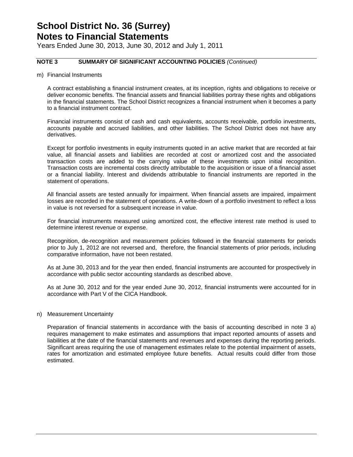Years Ended June 30, 2013, June 30, 2012 and July 1, 2011

#### **NOTE 3 SUMMARY OF SIGNIFICANT ACCOUNTING POLICIES** *(Continued)*

m) Financial Instruments

A contract establishing a financial instrument creates, at its inception, rights and obligations to receive or deliver economic benefits. The financial assets and financial liabilities portray these rights and obligations in the financial statements. The School District recognizes a financial instrument when it becomes a party to a financial instrument contract.

Financial instruments consist of cash and cash equivalents, accounts receivable, portfolio investments, accounts payable and accrued liabilities, and other liabilities. The School District does not have any derivatives.

Except for portfolio investments in equity instruments quoted in an active market that are recorded at fair value, all financial assets and liabilities are recorded at cost or amortized cost and the associated transaction costs are added to the carrying value of these investments upon initial recognition. Transaction costs are incremental costs directly attributable to the acquisition or issue of a financial asset or a financial liability. Interest and dividends attributable to financial instruments are reported in the statement of operations.

All financial assets are tested annually for impairment. When financial assets are impaired, impairment losses are recorded in the statement of operations. A write-down of a portfolio investment to reflect a loss in value is not reversed for a subsequent increase in value.

For financial instruments measured using amortized cost, the effective interest rate method is used to determine interest revenue or expense.

Recognition, de-recognition and measurement policies followed in the financial statements for periods prior to July 1, 2012 are not reversed and, therefore, the financial statements of prior periods, including comparative information, have not been restated.

As at June 30, 2013 and for the year then ended, financial instruments are accounted for prospectively in accordance with public sector accounting standards as described above.

As at June 30, 2012 and for the year ended June 30, 2012, financial instruments were accounted for in accordance with Part V of the CICA Handbook.

#### n) Measurement Uncertainty

Preparation of financial statements in accordance with the basis of accounting described in note 3 a) requires management to make estimates and assumptions that impact reported amounts of assets and liabilities at the date of the financial statements and revenues and expenses during the reporting periods. Significant areas requiring the use of management estimates relate to the potential impairment of assets, rates for amortization and estimated employee future benefits. Actual results could differ from those estimated.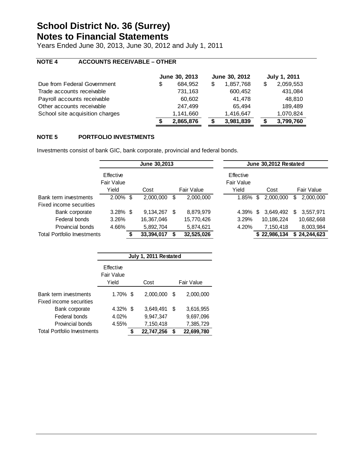Years Ended June 30, 2013, June 30, 2012 and July 1, 2011

#### **NOTE 4 ACCOUNTS RECEIVABLE – OTHER**

|                                 |    | June 30, 2013 |   | June 30, 2012 | <b>July 1, 2011</b> |
|---------------------------------|----|---------------|---|---------------|---------------------|
| Due from Federal Government     | \$ | 684.952       | S | 1,857,768     | 2,059,553           |
| Trade accounts receivable       |    | 731,163       |   | 600,452       | 431,084             |
| Payroll accounts receivable     |    | 60,602        |   | 41,478        | 48,810              |
| Other accounts receivable       |    | 247,499       |   | 65.494        | 189,489             |
| School site acquisition charges |    | 1,141,660     |   | 1,416,647     | 1,070,824           |
|                                 | S  | 2,865,876     |   | 3,981,839     | 3,799,760           |

#### **NOTE 5 PORTFOLIO INVESTMENTS**

Investments consist of bank GIC, bank corporate, provincial and federal bonds.

|                                    |                                | June 30,2013 |            |   | June 30,2012 Restated |                         |     |              |   |              |
|------------------------------------|--------------------------------|--------------|------------|---|-----------------------|-------------------------|-----|--------------|---|--------------|
|                                    | Effective<br><b>Fair Value</b> |              |            |   |                       | Effective<br>Fair Value |     |              |   |              |
|                                    | Yield                          |              | Cost       |   | Fair Value            | Yield                   |     | Cost         |   | Fair Value   |
| Bank term investments              | $2.00\%$ \$                    |              | 2,000,000  | S | 2,000,000             | 1.85%                   | \$. | 2,000,000    | S | 2,000,000    |
| Fixed income securities            |                                |              |            |   |                       |                         |     |              |   |              |
| Bank corporate                     | $3.28\%$ \$                    |              | 9,134,267  | S | 8,879,979             | 4.39%                   | S.  | 3.649.492    | S | 3,557,971    |
| Federal bonds                      | 3.26%                          |              | 16,367,046 |   | 15,770,426            | 3.29%                   |     | 10,186,224   |   | 10,682,668   |
| Provincial bonds                   | 4.66%                          |              | 5,892,704  |   | 5,874,621             | 4.20%                   |     | 7.150.418    |   | 8,003,984    |
| <b>Total Portfolio Investments</b> |                                |              | 33,394,017 |   | 32,525,026            |                         |     | \$22,986,134 |   | \$24,244,623 |

|                                           | July 1, 2011 Restated            |    |            |            |            |  |  |  |  |
|-------------------------------------------|----------------------------------|----|------------|------------|------------|--|--|--|--|
|                                           | Effective<br>Fair Value<br>Yield |    | Cost       | Fair Value |            |  |  |  |  |
| Bank term investments                     | $1.70\%$ \$                      |    | 2,000,000  | S          | 2,000,000  |  |  |  |  |
| Fixed income securities<br>Bank corporate | $4.32\%$ \$                      |    | 3,649,491  | \$         | 3,616,955  |  |  |  |  |
| Federal bonds                             | 4.02%                            |    | 9,947,347  |            | 9,697,096  |  |  |  |  |
| Provincial bonds                          | 4.55%                            |    | 7,150,418  |            | 7,385,729  |  |  |  |  |
| <b>Total Portfolio Investments</b>        |                                  | \$ | 22,747,256 | \$         | 22,699,780 |  |  |  |  |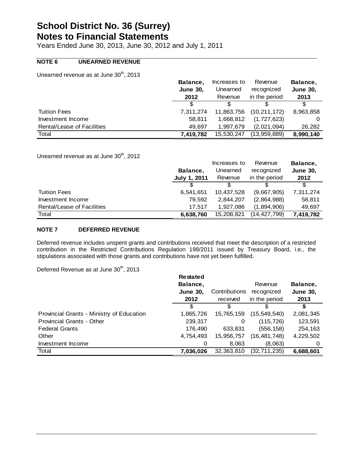Years Ended June 30, 2013, June 30, 2012 and July 1, 2011

#### **NOTE 6 UNEARNED REVENUE**

Unearned revenue as at June 30<sup>th</sup>, 2013

|                                   | Balance,        | Increases to | Revenue        | Balance,        |
|-----------------------------------|-----------------|--------------|----------------|-----------------|
|                                   | <b>June 30.</b> | Unearned     | recognized     | <b>June 30,</b> |
|                                   | 2012            | Revenue      | in the period  | 2013            |
|                                   |                 |              |                | \$.             |
| <b>Tuition Fees</b>               | 7.311.274       | 11,863,756   | (10, 211, 172) | 8,963,858       |
| Investment Income                 | 58,811          | 1,668,812    | (1,727,623)    |                 |
| <b>Rental/Lease of Facilities</b> | 49.697          | 1.997.679    | (2,021,094)    | 26,282          |
| Total                             | 7.419.782       | 15,530,247   | (13,959,889)   | 8,990,140       |

Unearned revenue as at June 30<sup>th</sup>, 2012

|                                   |                     | Increases to | Revenue       | Balance,        |
|-----------------------------------|---------------------|--------------|---------------|-----------------|
|                                   | Balance,            | Unearned     | recognized    | <b>June 30,</b> |
|                                   | <b>July 1, 2011</b> | Revenue      | in the period | 2012            |
|                                   | S                   |              |               | \$.             |
| <b>Tuition Fees</b>               | 6,541,651           | 10,437,528   | (9,667,905)   | 7,311,274       |
| Investment Income                 | 79,592              | 2,844,207    | (2,864,988)   | 58,811          |
| <b>Rental/Lease of Facilities</b> | 17.517              | 1.927.086    | (1,894,906)   | 49,697          |
| Total                             | 6,638,760           | 15,208,821   | (14,427,799)  | 7,419,782       |

#### **NOTE 7 DEFERRED REVENUE**

Deferred revenue includes unspent grants and contributions received that meet the description of a restricted contribution in the Restricted Contributions Regulation 198/2011 issued by Treasury Board, i.e., the stipulations associated with those grants and contributions have not yet been fulfilled.

Deferred Revenue as at June 30<sup>th</sup>, 2013

|                                           | <b>Restated</b> |               |                |                 |
|-------------------------------------------|-----------------|---------------|----------------|-----------------|
|                                           | Balance,        |               | Revenue        | Balance,        |
|                                           | <b>June 30,</b> | Contributions | recognized     | <b>June 30,</b> |
|                                           | 2012            | received      | in the period  | 2013            |
|                                           | S               |               | S              | S               |
| Provincial Grants - Ministry of Education | 1,865,726       | 15,765,159    | (15, 549, 540) | 2,081,345       |
| <b>Provincial Grants - Other</b>          | 239,317         | 0             | (115, 726)     | 123,591         |
| <b>Federal Grants</b>                     | 176,490         | 633,831       | (556,158)      | 254,163         |
| Other                                     | 4,754,493       | 15,956,757    | (16, 481, 748) | 4,229,502       |
| Investment Income                         | O               | 8,063         | (8,063)        | O               |
| Total                                     | 7,036,026       | 32,363,810    | (32, 711, 235) | 6,688,601       |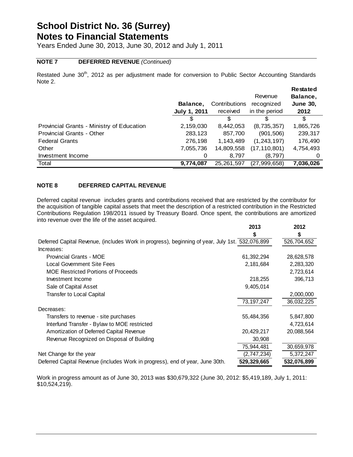Years Ended June 30, 2013, June 30, 2012 and July 1, 2011

#### **NOTE 7 DEFERRED REVENUE** *(Continued)*

Restated June 30<sup>th</sup>, 2012 as per adjustment made for conversion to Public Sector Accounting Standards Note 2. **Restated** 

|                                           | Balance,<br><b>July 1, 2011</b> | Contributions<br>received | Revenue<br>recognized<br>in the period | Restated<br>Balance,<br><b>June 30,</b><br>2012 |
|-------------------------------------------|---------------------------------|---------------------------|----------------------------------------|-------------------------------------------------|
|                                           | S                               | S                         | 3                                      | \$                                              |
| Provincial Grants - Ministry of Education | 2,159,030                       | 8,442,053                 | (8,735,357)                            | 1,865,726                                       |
| <b>Provincial Grants - Other</b>          | 283,123                         | 857,700                   | (901, 506)                             | 239,317                                         |
| <b>Federal Grants</b>                     | 276,198                         | 1,143,489                 | (1, 243, 197)                          | 176,490                                         |
| Other                                     | 7,055,736                       | 14,809,558                | (17,110,801)                           | 4,754,493                                       |
| Investment Income                         | 0                               | 8.797                     | (8,797)                                | 0                                               |
| Total                                     | 9,774,087                       | 25,261,597                | (27, 999, 658)                         | 7,036,026                                       |

#### **NOTE 8 DEFERRED CAPITAL REVENUE**

Deferred capital revenue includes grants and contributions received that are restricted by the contributor for the acquisition of tangible capital assets that meet the description of a restricted contribution in the Restricted Contributions Regulation 198/2011 issued by Treasury Board. Once spent, the contributions are amortized into revenue over the life of the asset acquired.

|                                                                                                 | 2013         | 2012                    |
|-------------------------------------------------------------------------------------------------|--------------|-------------------------|
|                                                                                                 |              |                         |
| Deferred Capital Revenue, (includes Work in progress), beginning of year, July 1st. 532,076,899 |              | 526,704,652             |
| Increases:                                                                                      |              |                         |
| <b>Provincial Grants - MOE</b>                                                                  | 61,392,294   | 28,628,578              |
| Local Government Site Fees                                                                      | 2,181,684    | 2,283,320               |
| <b>MOE Restricted Portions of Proceeds</b>                                                      |              | 2,723,614               |
| Investment Income                                                                               | 218,255      | 396,713                 |
| Sale of Capital Asset                                                                           | 9,405,014    |                         |
| <b>Transfer to Local Capital</b>                                                                |              | 2,000,000               |
|                                                                                                 | 73, 197, 247 | 36,032,225              |
| Decreases:                                                                                      |              |                         |
| Transfers to revenue - site purchases                                                           | 55,484,356   | 5,847,800               |
| Interfund Transfer - Bylaw to MOE restricted                                                    |              | 4,723,614               |
| Amortization of Deferred Capital Revenue                                                        | 20,429,217   | 20,088,564              |
| Revenue Recognized on Disposal of Building                                                      | 30,908       |                         |
|                                                                                                 | 75,944,481   | $\overline{30,}659,978$ |
| Net Change for the year                                                                         | (2,747,234)  | 5,372,247               |
| Deferred Capital Revenue (includes Work in progress), end of year, June 30th.                   | 529,329,665  | 532,076,899             |

Work in progress amount as of June 30, 2013 was \$30,679,322 (June 30, 2012: \$5,419,189, July 1, 2011: \$10,524,219).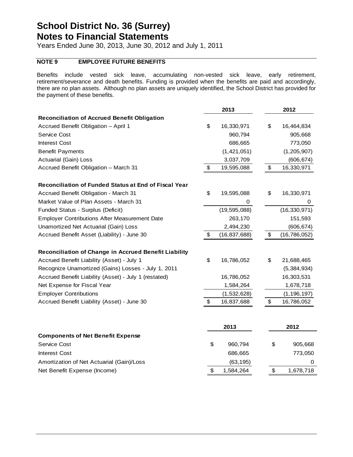Years Ended June 30, 2013, June 30, 2012 and July 1, 2011

#### **NOTE 9 EMPLOYEE FUTURE BENEFITS**

Benefits include vested sick leave, accumulating non-vested sick leave, early retirement, retirement/severance and death benefits. Funding is provided when the benefits are paid and accordingly, there are no plan assets. Although no plan assets are uniquely identified, the School District has provided for the payment of these benefits.

|                                                       |                       | 2013           | 2012                 |
|-------------------------------------------------------|-----------------------|----------------|----------------------|
| <b>Reconciliation of Accrued Benefit Obligation</b>   |                       |                |                      |
| Accrued Benefit Obligation - April 1                  | \$                    | 16,330,971     | \$<br>16,464,834     |
| <b>Service Cost</b>                                   |                       | 960,794        | 905,668              |
| <b>Interest Cost</b>                                  |                       | 686,665        | 773,050              |
| <b>Benefit Payments</b>                               |                       | (1, 421, 051)  | (1,205,907)          |
| Actuarial (Gain) Loss                                 |                       | 3,037,709      | (606, 674)           |
| Accrued Benefit Obligation - March 31                 | \$                    | 19,595,088     | \$<br>16,330,971     |
| Reconciliation of Funded Status at End of Fiscal Year |                       |                |                      |
| Accrued Benefit Obligation - March 31                 | \$                    | 19,595,088     | \$<br>16,330,971     |
| Market Value of Plan Assets - March 31                |                       | 0              | 0                    |
| Funded Status - Surplus (Deficit)                     |                       | (19, 595, 088) | (16, 330, 971)       |
| <b>Employer Contributions After Measurement Date</b>  |                       | 263,170        | 151,593              |
| Unamortized Net Actuarial (Gain) Loss                 |                       | 2,494,230      | (606, 674)           |
| Accrued Benefit Asset (Liability) - June 30           | $\boldsymbol{\theta}$ | (16, 837, 688) | \$<br>(16, 786, 052) |
| Reconciliation of Change in Accrued Benefit Liability |                       |                |                      |
| Accrued Benefit Liability (Asset) - July 1            | \$                    | 16,786,052     | \$<br>21,688,465     |
| Recognize Unamortized (Gains) Losses - July 1, 2011   |                       |                | (5,384,934)          |
| Accrued Benefit Liability (Asset) - July 1 (restated) |                       | 16,786,052     | 16,303,531           |
| Net Expense for Fiscal Year                           |                       | 1,584,264      | 1,678,718            |
| <b>Employer Contributions</b>                         |                       | (1,532,628)    | (1, 196, 197)        |
| Accrued Benefit Liability (Asset) - June 30           | \$                    | 16,837,688     | \$<br>16,786,052     |
|                                                       |                       | 2013           | 2012                 |
| <b>Components of Net Benefit Expense</b>              |                       |                |                      |
| Service Cost                                          | \$                    | 960,794        | \$<br>905,668        |
| <b>Interest Cost</b>                                  |                       | 686,665        | 773,050              |
| Amortization of Net Actuarial (Gain)/Loss             |                       | (63, 195)      | 0                    |
| Net Benefit Expense (Income)                          | \$                    | 1,584,264      | \$<br>1,678,718      |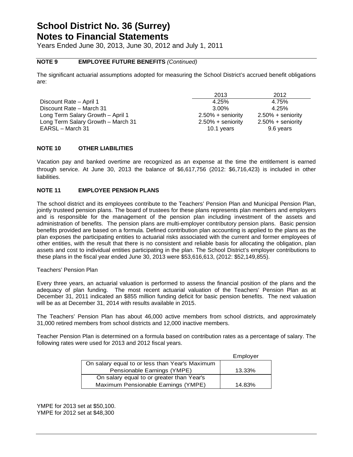Years Ended June 30, 2013, June 30, 2012 and July 1, 2011

#### **NOTE 9 EMPLOYEE FUTURE BENEFITS** *(Continued)*

The significant actuarial assumptions adopted for measuring the School District's accrued benefit obligations are:

|                                    | 2013                 | 2012                 |
|------------------------------------|----------------------|----------------------|
| Discount Rate - April 1            | 4.25%                | 4.75%                |
| Discount Rate - March 31           | 3.00%                | 4.25%                |
| Long Term Salary Growth – April 1  | $2.50\% +$ seniority | $2.50\% +$ seniority |
| Long Term Salary Growth - March 31 | $2.50\% +$ seniority | $2.50\% +$ seniority |
| EARSL - March 31                   | 10.1 years           | 9.6 years            |

#### **NOTE 10 OTHER LIABILITIES**

Vacation pay and banked overtime are recognized as an expense at the time the entitlement is earned through service. At June 30, 2013 the balance of \$6,617,756 (2012: \$6,716,423) is included in other liabilities.

#### **NOTE 11 EMPLOYEE PENSION PLANS**

The school district and its employees contribute to the Teachers' Pension Plan and Municipal Pension Plan, jointly trusteed pension plans. The board of trustees for these plans represents plan members and employers and is responsible for the management of the pension plan including investment of the assets and administration of benefits. The pension plans are multi-employer contributory pension plans.Basic pension benefits provided are based on a formula. Defined contribution plan accounting is applied to the plans as the plan exposes the participating entities to actuarial risks associated with the current and former employees of other entities, with the result that there is no consistent and reliable basis for allocating the obligation, plan assets and cost to individual entities participating in the plan. The School District's employer contributions to these plans in the fiscal year ended June 30, 2013 were \$53,616,613, (2012: \$52,149,855).

#### Teachers' Pension Plan

Every three years, an actuarial valuation is performed to assess the financial position of the plans and the adequacy of plan funding. The most recent actuarial valuation of the Teachers' Pension Plan as at December 31, 2011 indicated an \$855 million funding deficit for basic pension benefits. The next valuation will be as at December 31, 2014 with results available in 2015.

The Teachers' Pension Plan has about 46,000 active members from school districts, and approximately 31,000 retired members from school districts and 12,000 inactive members.

Teacher Pension Plan is determined on a formula based on contribution rates as a percentage of salary. The following rates were used for 2013 and 2012 fiscal years.

|                                                | Employer |
|------------------------------------------------|----------|
| On salary equal to or less than Year's Maximum |          |
| Pensionable Earnings (YMPE)                    | 13.33%   |
| On salary equal to or greater than Year's      |          |
| Maximum Pensionable Earnings (YMPE)            | 14.83%   |

YMPE for 2013 set at \$50,100. YMPE for 2012 set at \$48,300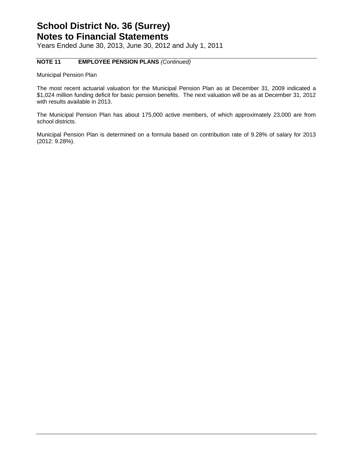Years Ended June 30, 2013, June 30, 2012 and July 1, 2011

#### **NOTE 11 EMPLOYEE PENSION PLANS** *(Continued)*

Municipal Pension Plan

The most recent actuarial valuation for the Municipal Pension Plan as at December 31, 2009 indicated a \$1,024 million funding deficit for basic pension benefits. The next valuation will be as at December 31, 2012 with results available in 2013.

The Municipal Pension Plan has about 175,000 active members, of which approximately 23,000 are from school districts.

Municipal Pension Plan is determined on a formula based on contribution rate of 9.28% of salary for 2013 (2012: 9.28%).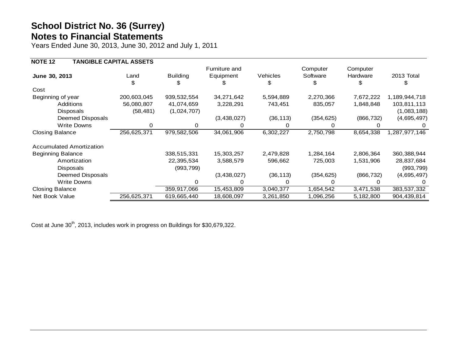Years Ended June 30, 2013, June 30, 2012 and July 1, 2011

| <b>NOTE 12</b>                  | <b>TANGIBLE CAPITAL ASSETS</b> |                 |               |           |            |            |               |
|---------------------------------|--------------------------------|-----------------|---------------|-----------|------------|------------|---------------|
|                                 |                                |                 | Furniture and |           | Computer   | Computer   |               |
| June 30, 2013                   | Land                           | <b>Building</b> | Equipment     | Vehicles  | Software   | Hardware   | 2013 Total    |
|                                 |                                |                 |               |           | S          |            |               |
| Cost                            |                                |                 |               |           |            |            |               |
| Beginning of year               | 200,603,045                    | 939,532,554     | 34,271,642    | 5,594,889 | 2,270,366  | 7,672,222  | 1,189,944,718 |
| Additions                       | 56,080,807                     | 41,074,659      | 3,228,291     | 743,451   | 835,057    | 1,848,848  | 103,811,113   |
| Disposals                       | (58, 481)                      | (1,024,707)     |               |           |            |            | (1,083,188)   |
| Deemed Disposals                |                                |                 | (3,438,027)   | (36, 113) | (354, 625) | (866, 732) | (4,695,497)   |
| <b>Write Downs</b>              | 0                              |                 |               | $\Omega$  |            |            |               |
| <b>Closing Balance</b>          | 256,625,371                    | 979,582,506     | 34,061,906    | 6,302,227 | 2,750,798  | 8,654,338  | 1,287,977,146 |
| <b>Accumulated Amortization</b> |                                |                 |               |           |            |            |               |
| <b>Beginning Balance</b>        |                                | 338,515,331     | 15,303,257    | 2,479,828 | 1,284,164  | 2,806,364  | 360, 388, 944 |
| Amortization                    |                                | 22,395,534      | 3,588,579     | 596,662   | 725,003    | 1,531,906  | 28,837,684    |
| Disposals                       |                                | (993, 799)      |               |           |            |            | (993, 799)    |
| Deemed Disposals                |                                |                 | (3,438,027)   | (36, 113) | (354, 625) | (866, 732) | (4,695,497)   |
| <b>Write Downs</b>              |                                |                 |               | O         |            |            |               |
| <b>Closing Balance</b>          |                                | 359,917,066     | 15,453,809    | 3,040,377 | 1,654,542  | 3,471,538  | 383,537,332   |
| Net Book Value                  | 256,625,371                    | 619,665,440     | 18,608,097    | 3,261,850 | 1,096,256  | 5,182,800  | 904,439,814   |
|                                 |                                |                 |               |           |            |            |               |

Cost at June 30<sup>th</sup>, 2013, includes work in progress on Buildings for \$30,679,322.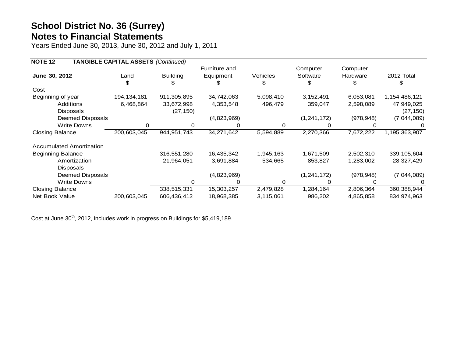Years Ended June 30, 2013, June 30, 2012 and July 1, 2011

| <b>NOTE 12</b>                  | <b>TANGIBLE CAPITAL ASSETS (Continued)</b> |                 |               |           |               |            |                  |
|---------------------------------|--------------------------------------------|-----------------|---------------|-----------|---------------|------------|------------------|
|                                 |                                            |                 | Furniture and |           | Computer      | Computer   |                  |
| June 30, 2012                   | Land                                       | <b>Building</b> | Equipment     | Vehicles  | Software      | Hardware   | 2012 Total       |
|                                 |                                            |                 | Ж,            | \$        | \$            |            |                  |
| Cost                            |                                            |                 |               |           |               |            |                  |
| Beginning of year               | 194, 134, 181                              | 911,305,895     | 34,742,063    | 5,098,410 | 3, 152, 491   | 6,053,081  | 1, 154, 486, 121 |
| <b>Additions</b>                | 6,468,864                                  | 33,672,998      | 4,353,548     | 496,479   | 359,047       | 2,598,089  | 47,949,025       |
| Disposals                       |                                            | (27, 150)       |               |           |               |            | (27, 150)        |
| Deemed Disposals                |                                            |                 | (4,823,969)   |           | (1, 241, 172) | (978, 948) | (7,044,089)      |
| Write Downs                     | 0                                          | 0               | 0             | 0         | 0             |            |                  |
| <b>Closing Balance</b>          | 200,603,045                                | 944, 951, 743   | 34,271,642    | 5,594,889 | 2,270,366     | 7,672,222  | 1,195,363,907    |
| <b>Accumulated Amortization</b> |                                            |                 |               |           |               |            |                  |
| <b>Beginning Balance</b>        |                                            | 316,551,280     | 16,435,342    | 1,945,163 | 1,671,509     | 2,502,310  | 339, 105, 604    |
| Amortization                    |                                            | 21,964,051      | 3,691,884     | 534,665   | 853,827       | 1,283,002  | 28,327,429       |
| <b>Disposals</b>                |                                            |                 |               |           |               |            |                  |
| Deemed Disposals                |                                            |                 | (4,823,969)   |           | (1, 241, 172) | (978, 948) | (7,044,089)      |
| Write Downs                     |                                            | O               | 0             | 0         | 0             |            |                  |
| <b>Closing Balance</b>          |                                            | 338,515,331     | 15,303,257    | 2,479,828 | 1,284,164     | 2,806,364  | 360,388,944      |
| Net Book Value                  | 200,603,045                                | 606,436,412     | 18,968,385    | 3,115,061 | 986,202       | 4,865,858  | 834,974,963      |

Cost at June 30<sup>th</sup>, 2012, includes work in progress on Buildings for \$5,419,189.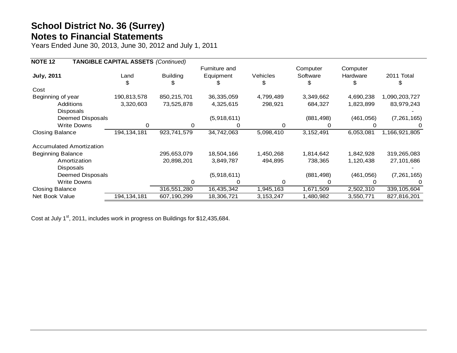Years Ended June 30, 2013, June 30, 2012 and July 1, 2011

| <b>NOTE 12</b>                  | <b>TANGIBLE CAPITAL ASSETS (Continued)</b> |                 |               |                 |            |            |               |
|---------------------------------|--------------------------------------------|-----------------|---------------|-----------------|------------|------------|---------------|
|                                 |                                            |                 | Furniture and |                 | Computer   | Computer   |               |
| <b>July, 2011</b>               | Land                                       | <b>Building</b> | Equipment     | <b>Vehicles</b> | Software   | Hardware   | 2011 Total    |
|                                 | \$                                         |                 |               | \$              | \$         | \$         | ъ             |
| Cost                            |                                            |                 |               |                 |            |            |               |
| Beginning of year               | 190,813,578                                | 850,215,701     | 36,335,059    | 4,799,489       | 3,349,662  | 4,690,238  | 1,090,203,727 |
| <b>Additions</b>                | 3,320,603                                  | 73,525,878      | 4,325,615     | 298,921         | 684,327    | 1,823,899  | 83,979,243    |
| <b>Disposals</b>                |                                            |                 |               |                 |            |            |               |
| Deemed Disposals                |                                            |                 | (5,918,611)   |                 | (881, 498) | (461, 056) | (7, 261, 165) |
| <b>Write Downs</b>              | 0                                          | $\Omega$        | 0             | 0               |            |            |               |
| <b>Closing Balance</b>          | 194, 134, 181                              | 923,741,579     | 34,742,063    | 5,098,410       | 3,152,491  | 6,053,081  | 1,166,921,805 |
| <b>Accumulated Amortization</b> |                                            |                 |               |                 |            |            |               |
| <b>Beginning Balance</b>        |                                            | 295,653,079     | 18,504,166    | 1,450,268       | 1,814,642  | 1,842,928  | 319,265,083   |
| Amortization                    |                                            | 20,898,201      | 3,849,787     | 494,895         | 738,365    | 1,120,438  | 27,101,686    |
| <b>Disposals</b>                |                                            |                 |               |                 |            |            |               |
| Deemed Disposals                |                                            |                 | (5,918,611)   |                 | (881, 498) | (461, 056) | (7, 261, 165) |
| <b>Write Downs</b>              |                                            |                 |               | 0               |            |            |               |
| <b>Closing Balance</b>          |                                            | 316,551,280     | 16,435,342    | 1,945,163       | 1,671,509  | 2,502,310  | 339, 105, 604 |
| Net Book Value                  | 194, 134, 181                              | 607,190,299     | 18,306,721    | 3, 153, 247     | 1,480,982  | 3,550,771  | 827,816,201   |

Cost at July 1<sup>st</sup>, 2011, includes work in progress on Buildings for \$12,435,684.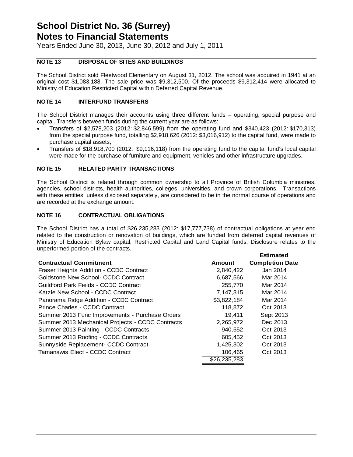Years Ended June 30, 2013, June 30, 2012 and July 1, 2011

#### **NOTE 13 DISPOSAL OF SITES AND BUILDINGS**

The School District sold Fleetwood Elementary on August 31, 2012. The school was acquired in 1941 at an original cost \$1,083,188. The sale price was \$9,312,500. Of the proceeds \$9,312,414 were allocated to Ministry of Education Restricted Capital within Deferred Capital Revenue.

#### **NOTE 14 INTERFUND TRANSFERS**

The School District manages their accounts using three different funds – operating, special purpose and capital. Transfers between funds during the current year are as follows:

- Transfers of \$2,578,203 (2012: \$2,846,599) from the operating fund and \$340,423 (2012: \$170,313) from the special purpose fund, totalling \$2,918,626 (2012: \$3,016,912) to the capital fund, were made to purchase capital assets;
- Transfers of \$18,918,700 (2012: \$9,116,118) from the operating fund to the capital fund's local capital were made for the purchase of furniture and equipment, vehicles and other infrastructure upgrades.

#### **NOTE 15 RELATED PARTY TRANSACTIONS**

The School District is related through common ownership to all Province of British Columbia ministries, agencies, school districts, health authorities, colleges, universities, and crown corporations. Transactions with these entities, unless disclosed separately, are considered to be in the normal course of operations and are recorded at the exchange amount.

#### **NOTE 16 CONTRACTUAL OBLIGATIONS**

The School District has a total of \$26,235,283 (2012: \$17,777,738) of contractual obligations at year end related to the construction or renovation of buildings, which are funded from deferred capital revenues of Ministry of Education Bylaw capital, Restricted Capital and Land Capital funds. Disclosure relates to the unperformed portion of the contracts.

|                                                  |               | <b>Estimated</b>       |
|--------------------------------------------------|---------------|------------------------|
| <b>Contractual Commitment</b>                    | <b>Amount</b> | <b>Completion Date</b> |
| Fraser Heights Addition - CCDC Contract          | 2,840,422     | Jan 2014               |
| Goldstone New School- CCDC Contract              | 6,687,566     | Mar 2014               |
| Guildford Park Fields - CCDC Contract            | 255,770       | Mar 2014               |
| Katzie New School - CCDC Contract                | 7.147.315     | Mar 2014               |
| Panorama Ridge Addition - CCDC Contract          | \$3,822,184   | Mar 2014               |
| Prince Charles - CCDC Contract                   | 118.872       | Oct 2013               |
| Summer 2013 Func Improvements - Purchase Orders  | 19.411        | Sept 2013              |
| Summer 2013 Mechanical Projects - CCDC Contracts | 2,265,972     | Dec 2013               |
| Summer 2013 Painting - CCDC Contracts            | 940,552       | Oct 2013               |
| Summer 2013 Roofing - CCDC Contracts             | 605,452       | Oct 2013               |
| Sunnyside Replacement- CCDC Contract             | 1,425,302     | Oct 2013               |
| Tamanawis Elect - CCDC Contract                  | 106,465       | Oct 2013               |
|                                                  | \$26,235,283  |                        |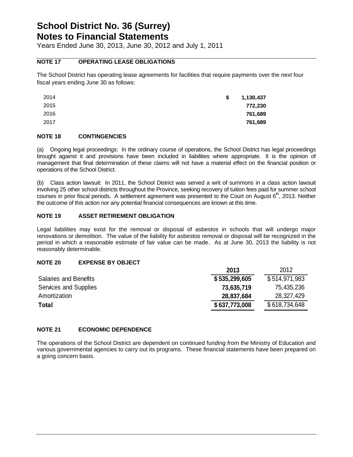Years Ended June 30, 2013, June 30, 2012 and July 1, 2011

#### **NOTE 17 OPERATING LEASE OBLIGATIONS**

The School District has operating lease agreements for facilities that require payments over the next four fiscal years ending June 30 as follows:

| 2014 | \$<br>1,130,437 |
|------|-----------------|
| 2015 | 772,230         |
| 2016 | 761,689         |
| 2017 | 761,689         |

#### **NOTE 18 CONTINGENCIES**

(a) Ongoing legal proceedings: In the ordinary course of operations, the School District has legal proceedings brought against it and provisions have been included in liabilities where appropriate. It is the opinion of management that final determination of these claims will not have a material effect on the financial position or operations of the School District.

(b) Class action lawsuit: In 2011, the School District was served a writ of summons in a class action lawsuit involving 25 other school districts throughout the Province, seeking recovery of tuition fees paid for summer school courses in prior fiscal periods. A settlement agreement was presented to the Court on August  $6<sup>th</sup>$ , 2013. Neither the outcome of this action nor any potential financial consequences are known at this time.

#### **NOTE 19 ASSET RETIREMENT OBLIGATION**

Legal liabilities may exist for the removal or disposal of asbestos in schools that will undergo major renovations or demolition. The value of the liability for asbestos removal or disposal will be recognized in the period in which a reasonable estimate of fair value can be made. As at June 30, 2013 the liability is not reasonably determinable.

#### **NOTE 20 EXPENSE BY OBJECT**

|               | 2012          |
|---------------|---------------|
| \$535,299,605 | \$514,971,983 |
| 73,635,719    | 75,435,236    |
| 28,837,684    | 28,327,429    |
| \$637,773,008 | \$618,734,648 |
|               | 2013          |

#### **NOTE 21 ECONOMIC DEPENDENCE**

The operations of the School District are dependent on continued funding from the Ministry of Education and various governmental agencies to carry out its programs. These financial statements have been prepared on a going concern basis.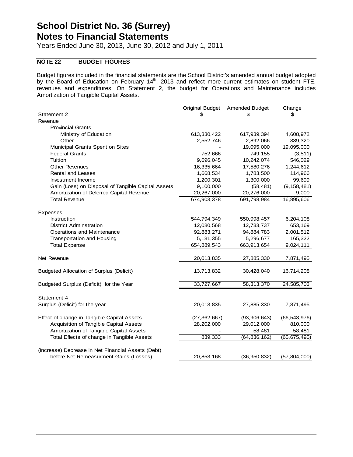Years Ended June 30, 2013, June 30, 2012 and July 1, 2011

#### **NOTE 22 BUDGET FIGURES**

Budget figures included in the financial statements are the School District's amended annual budget adopted by the Board of Education on February 14<sup>th</sup>, 2013 and reflect more current estimates on student FTE, revenues and expenditures. On Statement 2, the budget for Operations and Maintenance includes Amortization of Tangible Capital Assets.

|                                                    | <b>Original Budget</b> | <b>Amended Budget</b> | Change         |
|----------------------------------------------------|------------------------|-----------------------|----------------|
| Statement 2                                        | \$                     | S                     | \$             |
| Revenue                                            |                        |                       |                |
| <b>Provincial Grants</b>                           |                        |                       |                |
| Ministry of Education                              | 613,330,422            | 617,939,394           | 4,608,972      |
| Other                                              | 2,552,746              | 2,892,066             | 339,320        |
| Municipal Grants Spent on Sites                    |                        | 19,095,000            | 19,095,000     |
| <b>Federal Grants</b>                              | 752,666                | 749,155               | (3, 511)       |
| Tuition                                            | 9,696,045              | 10,242,074            | 546,029        |
| <b>Other Revenues</b>                              | 16,335,664             | 17,580,276            | 1,244,612      |
| <b>Rental and Leases</b>                           | 1,668,534              | 1,783,500             | 114,966        |
| Investment Income                                  | 1,200,301              | 1,300,000             | 99,699         |
| Gain (Loss) on Disposal of Tangible Capital Assets | 9,100,000              | (58, 481)             | (9, 158, 481)  |
| Amortization of Deferred Capital Revenue           | 20,267,000             | 20,276,000            | 9,000          |
| <b>Total Revenue</b>                               | 674,903,378            | 691,798,984           | 16,895,606     |
|                                                    |                        |                       |                |
| <b>Expenses</b>                                    |                        |                       |                |
| Instruction                                        | 544,794,349            | 550,998,457           | 6,204,108      |
| <b>District Adminstration</b>                      | 12,080,568             | 12,733,737            | 653,169        |
| Operations and Maintenance                         | 92,883,271             | 94,884,783            | 2,001,512      |
| Transportation and Housing                         | 5, 131, 355            | 5,296,677             | 165,322        |
| <b>Total Expense</b>                               | 654,889,543            | 663,913,654           | 9,024,111      |
|                                                    |                        |                       |                |
| Net Revenue                                        | 20,013,835             | 27,885,330            | 7,871,495      |
|                                                    |                        |                       |                |
| <b>Budgeted Allocation of Surplus (Deficit)</b>    | 13,713,832             | 30,428,040            | 16,714,208     |
|                                                    |                        |                       |                |
| Budgeted Surplus (Deficit) for the Year            | 33,727,667             | 58,313,370            | 24,585,703     |
|                                                    |                        |                       |                |
| Statement 4                                        |                        |                       |                |
| Surplus (Deficit) for the year                     | 20,013,835             | 27,885,330            | 7,871,495      |
|                                                    |                        |                       |                |
| Effect of change in Tangible Capital Assets        | (27, 362, 667)         | (93, 906, 643)        | (66,543,976)   |
| Acquisition of Tangible Capital Assets             | 28,202,000             | 29,012,000            | 810,000        |
| Amortization of Tangible Capital Assets            |                        | 58,481                | 58,481         |
| Total Effects of change in Tangible Assets         | 839,333                | (64,836,162)          | (65,675,495)   |
|                                                    |                        |                       |                |
| (Increase) Decrease in Net Financial Assets (Debt) |                        |                       |                |
| before Net Remeasurment Gains (Losses)             | 20,853,168             | (36, 950, 832)        | (57, 804, 000) |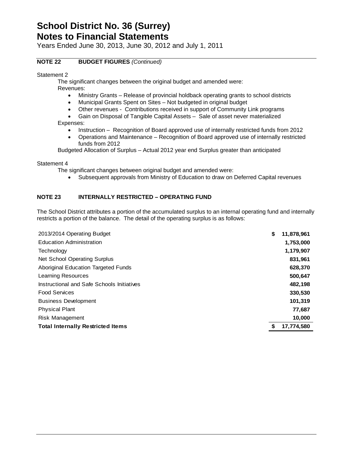Years Ended June 30, 2013, June 30, 2012 and July 1, 2011

#### **NOTE 22 BUDGET FIGURES** *(Continued)*

Statement 2

The significant changes between the original budget and amended were:

Revenues:

- Ministry Grants Release of provincial holdback operating grants to school districts
- Municipal Grants Spent on Sites Not budgeted in original budget
- Other revenues Contributions received in support of Community Link programs
- Gain on Disposal of Tangible Capital Assets Sale of asset never materialized

Expenses:

- Instruction Recognition of Board approved use of internally restricted funds from 2012
- Operations and Maintenance Recognition of Board approved use of internally restricted funds from 2012

Budgeted Allocation of Surplus – Actual 2012 year end Surplus greater than anticipated

Statement 4

The significant changes between original budget and amended were:

Subsequent approvals from Ministry of Education to draw on Deferred Capital revenues

#### **NOTE 23 INTERNALLY RESTRICTED – OPERATING FUND**

The School District attributes a portion of the accumulated surplus to an internal operating fund and internally restricts a portion of the balance. The detail of the operating surplus is as follows:

| 2013/2014 Operating Budget                 | \$<br>11,878,961 |
|--------------------------------------------|------------------|
| <b>Education Administration</b>            | 1,753,000        |
| Technology                                 | 1,179,907        |
| Net School Operating Surplus               | 831,961          |
| Aboriginal Education Targeted Funds        | 628,370          |
| Learning Resources                         | 500,647          |
| Instructional and Safe Schools Initiatives | 482,198          |
| <b>Food Services</b>                       | 330,530          |
| <b>Business Development</b>                | 101,319          |
| <b>Physical Plant</b>                      | 77,687           |
| Risk Management                            | 10,000           |
| <b>Total Internally Restricted Items</b>   | 17,774,580       |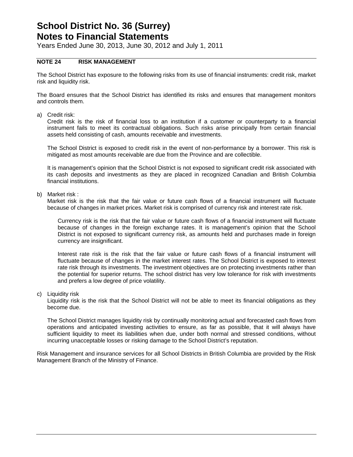Years Ended June 30, 2013, June 30, 2012 and July 1, 2011

#### **NOTE 24 RISK MANAGEMENT**

The School District has exposure to the following risks from its use of financial instruments: credit risk, market risk and liquidity risk.

The Board ensures that the School District has identified its risks and ensures that management monitors and controls them.

a) Credit risk:

Credit risk is the risk of financial loss to an institution if a customer or counterparty to a financial instrument fails to meet its contractual obligations. Such risks arise principally from certain financial assets held consisting of cash, amounts receivable and investments.

The School District is exposed to credit risk in the event of non-performance by a borrower. This risk is mitigated as most amounts receivable are due from the Province and are collectible.

It is management's opinion that the School District is not exposed to significant credit risk associated with its cash deposits and investments as they are placed in recognized Canadian and British Columbia financial institutions.

b) Market risk :

Market risk is the risk that the fair value or future cash flows of a financial instrument will fluctuate because of changes in market prices. Market risk is comprised of currency risk and interest rate risk.

Currency risk is the risk that the fair value or future cash flows of a financial instrument will fluctuate because of changes in the foreign exchange rates. It is management's opinion that the School District is not exposed to significant currency risk, as amounts held and purchases made in foreign currency are insignificant.

Interest rate risk is the risk that the fair value or future cash flows of a financial instrument will fluctuate because of changes in the market interest rates. The School District is exposed to interest rate risk through its investments. The investment objectives are on protecting investments rather than the potential for superior returns. The school district has very low tolerance for risk with investments and prefers a low degree of price volatility.

c) Liquidity risk

Liquidity risk is the risk that the School District will not be able to meet its financial obligations as they become due.

The School District manages liquidity risk by continually monitoring actual and forecasted cash flows from operations and anticipated investing activities to ensure, as far as possible, that it will always have sufficient liquidity to meet its liabilities when due, under both normal and stressed conditions, without incurring unacceptable losses or risking damage to the School District's reputation.

Risk Management and insurance services for all School Districts in British Columbia are provided by the Risk Management Branch of the Ministry of Finance.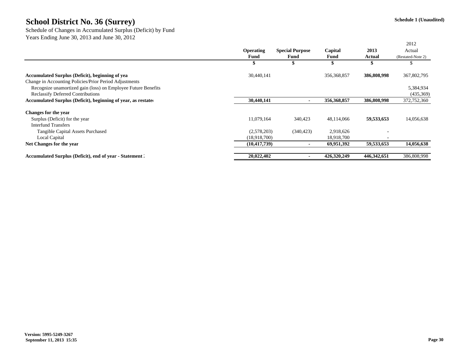Schedule of Changes in Accumulated Surplus (Deficit) by Fund Years Ending June 30, 2013 and June 30, 2012

|                                                               |                  |                        |               |                          | 2012              |
|---------------------------------------------------------------|------------------|------------------------|---------------|--------------------------|-------------------|
|                                                               | <b>Operating</b> | <b>Special Purpose</b> | Capital       | 2013                     | Actual            |
|                                                               | Fund             | Fund                   | Fund          | Actual                   | (Restated-Note 2) |
|                                                               |                  | ш                      |               |                          |                   |
| Accumulated Surplus (Deficit), beginning of yea               | 30,440,141       |                        | 356, 368, 857 | 386,808,998              | 367,802,795       |
| Change in Accounting Policies/Prior Period Adjustments        |                  |                        |               |                          |                   |
| Recognize unamortized gain (loss) on Employee Future Benefits |                  |                        |               |                          | 5,384,934         |
| <b>Reclassify Deferred Contributions</b>                      |                  |                        |               |                          | (435,369)         |
| Accumulated Surplus (Deficit), beginning of year, as restated | 30,440,141       |                        | 356,368,857   | 386,808,998              | 372,752,360       |
| Changes for the year                                          |                  |                        |               |                          |                   |
| Surplus (Deficit) for the year                                | 11.079.164       | 340,423                | 48,114,066    | 59,533,653               | 14,056,638        |
| <b>Interfund Transfers</b>                                    |                  |                        |               |                          |                   |
| Tangible Capital Assets Purchased                             | (2,578,203)      | (340, 423)             | 2,918,626     |                          |                   |
| Local Capital                                                 | (18,918,700)     |                        | 18,918,700    | $\overline{\phantom{a}}$ |                   |
| Net Changes for the year                                      | (10, 417, 739)   |                        | 69,951,392    | 59,533,653               | 14,056,638        |
| Accumulated Surplus (Deficit), end of year - Statement .      | 20,022,402       | ٠                      | 426,320,249   | 446, 342, 651            | 386,808,998       |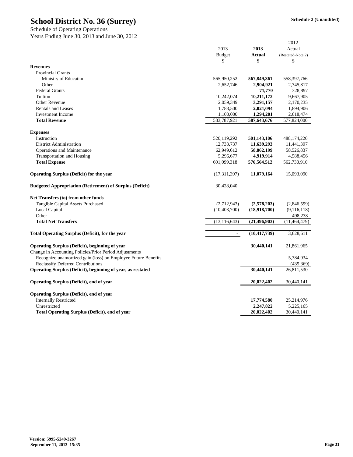|                                                                                                                         |                |                | 2012                     |
|-------------------------------------------------------------------------------------------------------------------------|----------------|----------------|--------------------------|
|                                                                                                                         | 2013           | 2013           | Actual                   |
|                                                                                                                         | <b>Budget</b>  | <b>Actual</b>  | (Restated-Note 2)        |
|                                                                                                                         | \$             | \$             | \$                       |
| <b>Revenues</b>                                                                                                         |                |                |                          |
| <b>Provincial Grants</b>                                                                                                |                |                |                          |
| Ministry of Education                                                                                                   | 565,950,252    | 567,849,361    | 558, 397, 766            |
| Other                                                                                                                   | 2,652,746      | 2,904,921      | 2,745,817                |
| <b>Federal Grants</b>                                                                                                   |                | 71,770         | 328,897                  |
| Tuition                                                                                                                 | 10,242,074     | 10,211,172     | 9,667,905                |
| Other Revenue                                                                                                           | 2,059,349      | 3,291,157      | 2,170,235                |
| <b>Rentals and Leases</b>                                                                                               | 1,783,500      | 2,021,094      | 1,894,906                |
| <b>Investment</b> Income                                                                                                | 1,100,000      | 1,294,201      | 2,618,474                |
| <b>Total Revenue</b>                                                                                                    | 583,787,921    | 587,643,676    | 577,824,000              |
| <b>Expenses</b>                                                                                                         |                |                |                          |
| Instruction                                                                                                             | 520,119,292    | 501,143,106    | 488,174,220              |
| District Administration                                                                                                 | 12,733,737     | 11,639,293     | 11,441,397               |
| Operations and Maintenance                                                                                              | 62,949,612     | 58,862,199     | 58,526,837               |
| Transportation and Housing                                                                                              | 5,296,677      | 4,919,914      | 4,588,456                |
| <b>Total Expense</b>                                                                                                    | 601,099,318    | 576,564,512    | 562,730,910              |
| <b>Operating Surplus (Deficit) for the year</b>                                                                         | (17, 311, 397) | 11,079,164     | 15,093,090               |
| <b>Budgeted Appropriation (Retirement) of Surplus (Deficit)</b>                                                         | 30,428,040     |                |                          |
| Net Transfers (to) from other funds                                                                                     |                |                |                          |
| Tangible Capital Assets Purchased                                                                                       | (2,712,943)    | (2,578,203)    | (2,846,599)              |
| Local Capital                                                                                                           | (10, 403, 700) | (18,918,700)   | (9,116,118)              |
| Other                                                                                                                   |                |                | 498,238                  |
| <b>Total Net Transfers</b>                                                                                              | (13, 116, 643) | (21, 496, 903) | (11,464,479)             |
| Total Operating Surplus (Deficit), for the year                                                                         | $\sim$         | (10, 417, 739) | 3,628,611                |
|                                                                                                                         |                |                |                          |
| Operating Surplus (Deficit), beginning of year                                                                          |                | 30,440,141     | 21,861,965               |
| Change in Accounting Policies/Prior Period Adjustments<br>Recognize unamortized gain (loss) on Employee Future Benefits |                |                |                          |
|                                                                                                                         |                |                | 5,384,934                |
| <b>Reclassify Deferred Contributions</b>                                                                                |                |                | (435, 369)<br>26,811,530 |
| Operating Surplus (Deficit), beginning of year, as restated                                                             |                | 30,440,141     |                          |
| Operating Surplus (Deficit), end of year                                                                                |                | 20,022,402     | 30,440,141               |
| <b>Operating Surplus (Deficit), end of year</b>                                                                         |                |                |                          |
| <b>Internally Restricted</b>                                                                                            |                | 17,774,580     | 25,214,976               |
| Unrestricted                                                                                                            |                | 2,247,822      | 5,225,165                |
| <b>Total Operating Surplus (Deficit), end of year</b>                                                                   |                | 20,022,402     | 30,440,141               |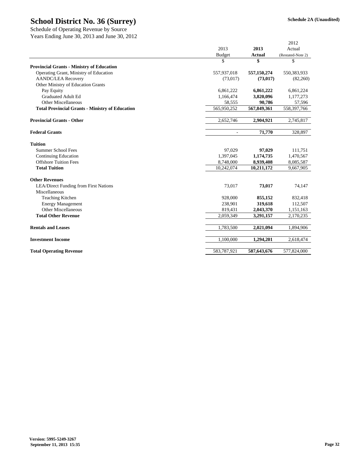Years Ending June 30, 2013 and June 30, 2012

|                                                        |                          |               | 2012              |
|--------------------------------------------------------|--------------------------|---------------|-------------------|
|                                                        | 2013                     | 2013          | Actual            |
|                                                        | <b>Budget</b>            | <b>Actual</b> | (Restated-Note 2) |
|                                                        | \$                       | \$            | \$                |
| <b>Provincial Grants - Ministry of Education</b>       |                          |               |                   |
| Operating Grant, Ministry of Education                 | 557,937,018              | 557,150,274   | 550,383,933       |
| <b>AANDC/LEA Recovery</b>                              | (73,017)                 | (73, 017)     | (82,260)          |
| Other Ministry of Education Grants                     |                          |               |                   |
| Pay Equity                                             | 6,861,222                | 6,861,222     | 6,861,224         |
| <b>Graduated Adult Ed</b>                              | 1,166,474                | 3,820,096     | 1,177,273         |
| <b>Other Miscellaneous</b>                             | 58,555                   | 90,786        | 57,596            |
| <b>Total Provincial Grants - Ministry of Education</b> | 565,950,252              | 567,849,361   | 558,397,766       |
| <b>Provincial Grants - Other</b>                       | 2,652,746                | 2,904,921     | 2,745,817         |
| <b>Federal Grants</b>                                  | $\overline{\phantom{a}}$ | 71,770        | 328,897           |
| <b>Tuition</b>                                         |                          |               |                   |
| Summer School Fees                                     | 97,029                   | 97,029        | 111,751           |
| <b>Continuing Education</b>                            | 1,397,045                | 1,174,735     | 1,470,567         |
| <b>Offshore Tuition Fees</b>                           | 8,748,000                | 8,939,408     | 8,085,587         |
| <b>Total Tuition</b>                                   | 10,242,074               | 10,211,172    | 9,667,905         |
| <b>Other Revenues</b>                                  |                          |               |                   |
| <b>LEA/Direct Funding from First Nations</b>           | 73,017                   | 73,017        | 74,147            |
| Miscellaneous                                          |                          |               |                   |
| <b>Teaching Kitchen</b>                                | 928,000                  | 855,152       | 832,418           |
| <b>Energy Management</b>                               | 238,901                  | 319,618       | 112,507           |
| <b>Other Miscellaneous</b>                             | 819,431                  | 2,043,370     | 1,151,163         |
| <b>Total Other Revenue</b>                             | 2,059,349                | 3,291,157     | 2,170,235         |
| <b>Rentals and Leases</b>                              | 1,783,500                | 2,021,094     | 1,894,906         |
| <b>Investment Income</b>                               | 1,100,000                | 1,294,201     | 2,618,474         |
| <b>Total Operating Revenue</b>                         | 583,787,921              | 587,643,676   | 577,824,000       |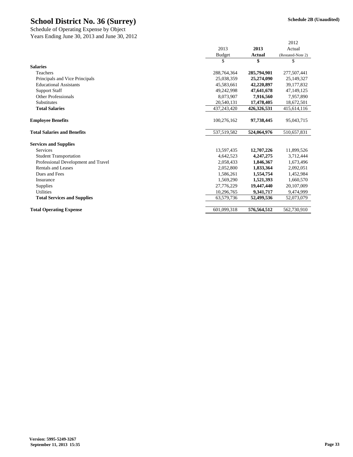Years Ending June 30, 2013 and June 30, 2012 Schedule of Operating Expense by Object

| 2013<br>2013<br>Actual<br><b>Actual</b><br>Budget<br>\$<br>S<br>\$<br><b>Salaries</b><br>Teachers<br>288,764,364<br>285,794,901<br>Principals and Vice Principals<br>25,038,359<br>25,274,090<br><b>Educational Assistants</b><br>45.583.661<br>42,220,897<br><b>Support Staff</b><br>49,242,998<br>47,641,678<br><b>Other Professionals</b><br>8,073,907<br>7,916,560<br><b>Substitutes</b><br>20,540,131<br>17,478,405<br>437,243,420<br>426,326,531<br><b>Total Salaries</b><br><b>Employee Benefits</b><br>100,276,162<br>97,738,445<br><b>Total Salaries and Benefits</b><br>537,519,582<br>524,064,976<br><b>Services and Supplies</b><br><b>Services</b><br>13,597,435<br>12,707,226<br><b>Student Transportation</b><br>4,642,523<br>4,247,275<br>Professional Development and Travel<br>2,058,433<br>1,846,367<br>Rentals and Leases<br>2,052,800<br>1,833,364<br>Dues and Fees<br>1,554,754<br>1,586,261<br>1,569,290<br>1,521,393<br>Insurance<br>27,776,229<br>19,447,440<br>Supplies<br><b>Utilities</b><br>10,296,765<br>9,341,717<br><b>Total Services and Supplies</b><br>63,579,736<br>52,499,536 |  | 2012              |
|--------------------------------------------------------------------------------------------------------------------------------------------------------------------------------------------------------------------------------------------------------------------------------------------------------------------------------------------------------------------------------------------------------------------------------------------------------------------------------------------------------------------------------------------------------------------------------------------------------------------------------------------------------------------------------------------------------------------------------------------------------------------------------------------------------------------------------------------------------------------------------------------------------------------------------------------------------------------------------------------------------------------------------------------------------------------------------------------------------------------|--|-------------------|
|                                                                                                                                                                                                                                                                                                                                                                                                                                                                                                                                                                                                                                                                                                                                                                                                                                                                                                                                                                                                                                                                                                                    |  |                   |
|                                                                                                                                                                                                                                                                                                                                                                                                                                                                                                                                                                                                                                                                                                                                                                                                                                                                                                                                                                                                                                                                                                                    |  | (Restated-Note 2) |
|                                                                                                                                                                                                                                                                                                                                                                                                                                                                                                                                                                                                                                                                                                                                                                                                                                                                                                                                                                                                                                                                                                                    |  |                   |
|                                                                                                                                                                                                                                                                                                                                                                                                                                                                                                                                                                                                                                                                                                                                                                                                                                                                                                                                                                                                                                                                                                                    |  |                   |
|                                                                                                                                                                                                                                                                                                                                                                                                                                                                                                                                                                                                                                                                                                                                                                                                                                                                                                                                                                                                                                                                                                                    |  | 277,507,441       |
|                                                                                                                                                                                                                                                                                                                                                                                                                                                                                                                                                                                                                                                                                                                                                                                                                                                                                                                                                                                                                                                                                                                    |  | 25,149,327        |
|                                                                                                                                                                                                                                                                                                                                                                                                                                                                                                                                                                                                                                                                                                                                                                                                                                                                                                                                                                                                                                                                                                                    |  | 39,177,832        |
|                                                                                                                                                                                                                                                                                                                                                                                                                                                                                                                                                                                                                                                                                                                                                                                                                                                                                                                                                                                                                                                                                                                    |  | 47,149,125        |
|                                                                                                                                                                                                                                                                                                                                                                                                                                                                                                                                                                                                                                                                                                                                                                                                                                                                                                                                                                                                                                                                                                                    |  | 7,957,890         |
|                                                                                                                                                                                                                                                                                                                                                                                                                                                                                                                                                                                                                                                                                                                                                                                                                                                                                                                                                                                                                                                                                                                    |  | 18,672,501        |
|                                                                                                                                                                                                                                                                                                                                                                                                                                                                                                                                                                                                                                                                                                                                                                                                                                                                                                                                                                                                                                                                                                                    |  | 415,614,116       |
|                                                                                                                                                                                                                                                                                                                                                                                                                                                                                                                                                                                                                                                                                                                                                                                                                                                                                                                                                                                                                                                                                                                    |  |                   |
|                                                                                                                                                                                                                                                                                                                                                                                                                                                                                                                                                                                                                                                                                                                                                                                                                                                                                                                                                                                                                                                                                                                    |  | 95,043,715        |
|                                                                                                                                                                                                                                                                                                                                                                                                                                                                                                                                                                                                                                                                                                                                                                                                                                                                                                                                                                                                                                                                                                                    |  | 510,657,831       |
|                                                                                                                                                                                                                                                                                                                                                                                                                                                                                                                                                                                                                                                                                                                                                                                                                                                                                                                                                                                                                                                                                                                    |  |                   |
|                                                                                                                                                                                                                                                                                                                                                                                                                                                                                                                                                                                                                                                                                                                                                                                                                                                                                                                                                                                                                                                                                                                    |  | 11,899,526        |
|                                                                                                                                                                                                                                                                                                                                                                                                                                                                                                                                                                                                                                                                                                                                                                                                                                                                                                                                                                                                                                                                                                                    |  | 3,712,444         |
|                                                                                                                                                                                                                                                                                                                                                                                                                                                                                                                                                                                                                                                                                                                                                                                                                                                                                                                                                                                                                                                                                                                    |  | 1,673,496         |
|                                                                                                                                                                                                                                                                                                                                                                                                                                                                                                                                                                                                                                                                                                                                                                                                                                                                                                                                                                                                                                                                                                                    |  | 2,092,051         |
|                                                                                                                                                                                                                                                                                                                                                                                                                                                                                                                                                                                                                                                                                                                                                                                                                                                                                                                                                                                                                                                                                                                    |  | 1,452,984         |
|                                                                                                                                                                                                                                                                                                                                                                                                                                                                                                                                                                                                                                                                                                                                                                                                                                                                                                                                                                                                                                                                                                                    |  | 1,660,570         |
|                                                                                                                                                                                                                                                                                                                                                                                                                                                                                                                                                                                                                                                                                                                                                                                                                                                                                                                                                                                                                                                                                                                    |  | 20,107,009        |
|                                                                                                                                                                                                                                                                                                                                                                                                                                                                                                                                                                                                                                                                                                                                                                                                                                                                                                                                                                                                                                                                                                                    |  | 9,474,999         |
|                                                                                                                                                                                                                                                                                                                                                                                                                                                                                                                                                                                                                                                                                                                                                                                                                                                                                                                                                                                                                                                                                                                    |  | 52,073,079        |
| 601,099,318<br>576.564.512<br><b>Total Operating Expense</b>                                                                                                                                                                                                                                                                                                                                                                                                                                                                                                                                                                                                                                                                                                                                                                                                                                                                                                                                                                                                                                                       |  | 562,730,910       |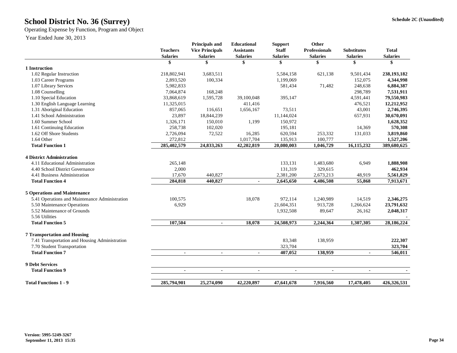Operating Expense by Function, Program and Object

Year Ended June 30, 2013

|                                                | <b>Teachers</b><br><b>Salaries</b> | <b>Principals and</b><br><b>Vice Principals</b><br><b>Salaries</b> | <b>Educational</b><br><b>Assistants</b><br><b>Salaries</b> | <b>Support</b><br><b>Staff</b><br><b>Salaries</b> | <b>Other</b><br><b>Professionals</b><br><b>Salaries</b> | <b>Substitutes</b><br><b>Salaries</b> | <b>Total</b><br><b>Salaries</b> |
|------------------------------------------------|------------------------------------|--------------------------------------------------------------------|------------------------------------------------------------|---------------------------------------------------|---------------------------------------------------------|---------------------------------------|---------------------------------|
|                                                | \$                                 | \$                                                                 | \$                                                         | \$                                                | \$                                                      | \$                                    | \$                              |
| 1 Instruction                                  |                                    |                                                                    |                                                            |                                                   |                                                         |                                       |                                 |
| 1.02 Regular Instruction                       | 218,802,941                        | 3,683,511                                                          |                                                            | 5,584,158                                         | 621,138                                                 | 9,501,434                             | 238,193,182                     |
| 1.03 Career Programs                           | 2,893,520                          | 100,334                                                            |                                                            | 1,199,069                                         |                                                         | 152,075                               | 4,344,998                       |
| 1.07 Library Services                          | 5,982,833                          |                                                                    |                                                            | 581,434                                           | 71,482                                                  | 248,638                               | 6,884,387                       |
| 1.08 Counselling                               | 7,064,874                          | 168,248                                                            |                                                            |                                                   |                                                         | 298,789                               | 7,531,911                       |
| 1.10 Special Education                         | 33,868,619                         | 1,595,728                                                          | 39,100,048                                                 | 395,147                                           |                                                         | 4,591,441                             | 79,550,983                      |
| 1.30 English Language Learning                 | 11,325,015                         |                                                                    | 411,416                                                    |                                                   |                                                         | 476,521                               | 12,212,952                      |
| 1.31 Aboriginal Education                      | 857,065                            | 116,651                                                            | 1,656,167                                                  | 73,511                                            |                                                         | 43,001                                | 2,746,395                       |
| 1.41 School Administration                     | 23,897                             | 18,844,239                                                         |                                                            | 11,144,024                                        |                                                         | 657,931                               | 30,670,091                      |
| 1.60 Summer School                             | 1,326,171                          | 150,010                                                            | 1,199                                                      | 150,972                                           |                                                         |                                       | 1,628,352                       |
| 1.61 Continuing Education                      | 258,738                            | 102,020                                                            |                                                            | 195,181                                           |                                                         | 14,369                                | 570,308                         |
| 1.62 Off Shore Students                        | 2,726,094                          | 72,522                                                             | 16,285                                                     | 620,594                                           | 253,332                                                 | 131,033                               | 3,819,860                       |
| 1.64 Other                                     | 272,812                            |                                                                    | 1,017,704                                                  | 135,913                                           | 100,777                                                 |                                       | 1,527,206                       |
| <b>Total Function 1</b>                        | 285,402,579                        | 24,833,263                                                         | 42,202,819                                                 | 20,080,003                                        | 1,046,729                                               | 16,115,232                            | 389,680,625                     |
| <b>4 District Administration</b>               |                                    |                                                                    |                                                            |                                                   |                                                         |                                       |                                 |
| 4.11 Educational Administration                | 265,148                            |                                                                    |                                                            | 133,131                                           | 1,483,680                                               | 6,949                                 | 1,888,908                       |
| 4.40 School District Governance                | 2,000                              |                                                                    |                                                            | 131,319                                           | 329,615                                                 |                                       | 462,934                         |
| 4.41 Business Administration                   | 17,670                             | 440,827                                                            |                                                            | 2,381,200                                         | 2,673,213                                               | 48,919                                | 5,561,829                       |
| <b>Total Function 4</b>                        | 284,818                            | 440.827                                                            | $\blacksquare$                                             | 2,645,650                                         | 4,486,508                                               | 55,868                                | 7,913,671                       |
| <b>5 Operations and Maintenance</b>            |                                    |                                                                    |                                                            |                                                   |                                                         |                                       |                                 |
| 5.41 Operations and Maintenance Administration | 100,575                            |                                                                    | 18,078                                                     | 972,114                                           | 1,240,989                                               | 14,519                                | 2,346,275                       |
| 5.50 Maintenance Operations                    | 6,929                              |                                                                    |                                                            | 21,604,351                                        | 913,728                                                 | 1,266,624                             | 23,791,632                      |
| 5.52 Maintenance of Grounds                    |                                    |                                                                    |                                                            | 1,932,508                                         | 89,647                                                  | 26,162                                | 2,048,317                       |
| 5.56 Utilities                                 |                                    |                                                                    |                                                            |                                                   |                                                         |                                       |                                 |
| <b>Total Function 5</b>                        | 107,504                            | $\blacksquare$                                                     | 18,078                                                     | 24,508,973                                        | 2,244,364                                               | 1,307,305                             | 28,186,224                      |
| <b>7 Transportation and Housing</b>            |                                    |                                                                    |                                                            |                                                   |                                                         |                                       |                                 |
| 7.41 Transportation and Housing Administration |                                    |                                                                    |                                                            | 83,348                                            | 138,959                                                 |                                       | 222,307                         |
| 7.70 Student Transportation                    |                                    |                                                                    |                                                            | 323,704                                           |                                                         |                                       | 323,704                         |
| <b>Total Function 7</b>                        | $\blacksquare$                     | $\blacksquare$                                                     | $\blacksquare$                                             | 407,052                                           | 138,959                                                 | $\blacksquare$                        | 546,011                         |
| <b>9 Debt Services</b>                         |                                    |                                                                    |                                                            |                                                   |                                                         |                                       |                                 |
| <b>Total Function 9</b>                        | $\blacksquare$                     | $\blacksquare$                                                     | $\blacksquare$                                             | $\blacksquare$                                    |                                                         | $\blacksquare$                        |                                 |
| <b>Total Functions 1 - 9</b>                   | 285,794,901                        | 25,274,090                                                         | 42,220,897                                                 | 47,641,678                                        | 7,916,560                                               | 17,478,405                            | 426,326,531                     |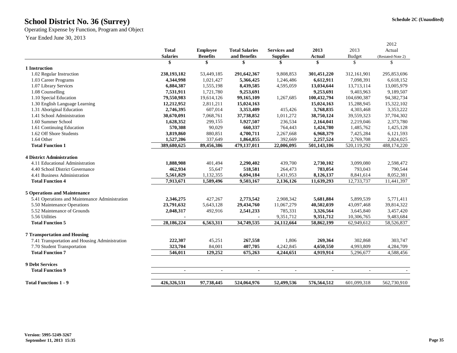Operating Expense by Function, Program and Object

Year Ended June 30, 2013

|                                                |                 |                 |                       |                     |                |             | 2012              |
|------------------------------------------------|-----------------|-----------------|-----------------------|---------------------|----------------|-------------|-------------------|
|                                                | <b>Total</b>    | <b>Employee</b> | <b>Total Salaries</b> | <b>Services and</b> | 2013           | 2013        | Actual            |
|                                                | <b>Salaries</b> | <b>Benefits</b> | and Benefits          | <b>Supplies</b>     | Actual         | Budget      | (Restated-Note 2) |
|                                                | \$              | \$              | \$                    | \$                  | \$             | \$          | $\mathcal{S}$     |
| 1 Instruction                                  |                 |                 |                       |                     |                |             |                   |
| 1.02 Regular Instruction                       | 238,193,182     | 53,449,185      | 291,642,367           | 9,808,853           | 301,451,220    | 312,161,901 | 295,853,696       |
| 1.03 Career Programs                           | 4,344,998       | 1,021,427       | 5,366,425             | 1,246,486           | 6,612,911      | 7,098,391   | 6,618,152         |
| 1.07 Library Services                          | 6,884,387       | 1,555,198       | 8,439,585             | 4,595,059           | 13,034,644     | 13,713,114  | 13,005,979        |
| 1.08 Counselling                               | 7,531,911       | 1,721,780       | 9,253,691             |                     | 9,253,691      | 9.403.963   | 9.189.507         |
| 1.10 Special Education                         | 79,550,983      | 19,614,126      | 99,165,109            | 1,267,685           | 100,432,794    | 104,690,387 | 94,382,734        |
| 1.30 English Language Learning                 | 12,212,952      | 2,811,211       | 15,024,163            |                     | 15,024,163     | 15,288,945  | 15,322,102        |
| 1.31 Aboriginal Education                      | 2,746,395       | 607,014         | 3,353,409             | 415,426             | 3,768,835      | 4,303,468   | 3,353,222         |
| 1.41 School Administration                     | 30,670,091      | 7,068,761       | 37,738,852            | 1,011,272           | 38,750,124     | 39,559,323  | 37,704,302        |
| 1.60 Summer School                             | 1,628,352       | 299,155         | 1,927,507             | 236,534             | 2,164,041      | 2,219,046   | 2,373,780         |
| 1.61 Continuing Education                      | 570,308         | 90,029          | 660,337               | 764,443             | 1,424,780      | 1,485,762   | 1,425,128         |
| 1.62 Off Shore Students                        | 3,819,860       | 880,851         | 4,700,711             | 2,267,668           | 6,968,379      | 7,425,284   | 6,121,593         |
| 1.64 Other                                     | 1,527,206       | 337,649         | 1,864,855             | 392,669             | 2,257,524      | 2,769,708   | 2,824,025         |
| <b>Total Function 1</b>                        | 389,680,625     | 89,456,386      | 479,137,011           | 22,006,095          | 501,143,106    | 520,119,292 | 488,174,220       |
|                                                |                 |                 |                       |                     |                |             |                   |
| <b>4 District Administration</b>               |                 |                 |                       |                     |                |             |                   |
| 4.11 Educational Administration                | 1,888,908       | 401,494         | 2,290,402             | 439,700             | 2,730,102      | 3,099,080   | 2,598,472         |
| 4.40 School District Governance                | 462,934         | 55,647          | 518,581               | 264,473             | 783,054        | 793,043     | 790,544           |
| 4.41 Business Administration                   | 5,561,829       | 1,132,355       | 6,694,184             | 1,431,953           | 8,126,137      | 8,841,614   | 8,052,381         |
| <b>Total Function 4</b>                        | 7.913.671       | 1,589,496       | 9,503,167             | 2,136,126           | 11,639,293     | 12,733,737  | 11,441,397        |
| <b>5 Operations and Maintenance</b>            |                 |                 |                       |                     |                |             |                   |
| 5.41 Operations and Maintenance Administration | 2,346,275       | 427,267         | 2,773,542             | 2,908,342           | 5,681,884      | 5,899,539   | 5,771,411         |
| 5.50 Maintenance Operations                    | 23,791,632      | 5,643,128       | 29,434,760            | 11,067,279          | 40,502,039     | 43,097,468  | 39,814,322        |
| 5.52 Maintenance of Grounds                    | 2,048,317       | 492,916         | 2,541,233             | 785,331             | 3,326,564      | 3,645,840   | 3,457,420         |
| 5.56 Utilities                                 |                 |                 |                       | 9,351,712           | 9,351,712      | 10,306,765  | 9,483,684         |
| <b>Total Function 5</b>                        | 28,186,224      | 6,563,311       | 34,749,535            | 24,112,664          | 58,862,199     | 62,949,612  | 58,526,837        |
|                                                |                 |                 |                       |                     |                |             |                   |
| <b>7 Transportation and Housing</b>            |                 |                 |                       |                     |                |             |                   |
| 7.41 Transportation and Housing Administration | 222,307         | 45,251          | 267,558               | 1,806               | 269,364        | 302,868     | 303,747           |
| 7.70 Student Transportation                    | 323,704         | 84,001          | 407,705               | 4,242,845           | 4,650,550      | 4,993,809   | 4,284,709         |
| <b>Total Function 7</b>                        | 546,011         | 129,252         | 675,263               | 4,244,651           | 4,919,914      | 5,296,677   | 4,588,456         |
| 9 Debt Services                                |                 |                 |                       |                     |                |             |                   |
| <b>Total Function 9</b>                        | $\blacksquare$  | $\blacksquare$  | $\blacksquare$        | $\blacksquare$      | $\blacksquare$ | $\sim$      |                   |
|                                                |                 |                 |                       |                     |                |             |                   |
| <b>Total Functions 1 - 9</b>                   | 426,326,531     | 97,738,445      | 524,064,976           | 52,499,536          | 576,564,512    | 601,099,318 | 562,730,910       |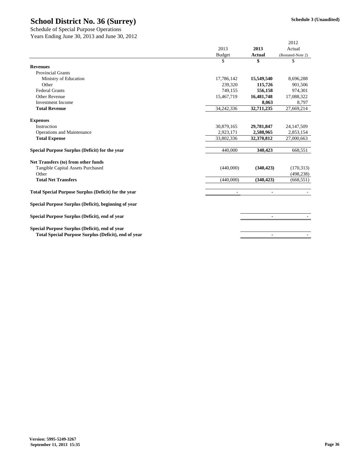| $50, 20, 2015$ and $50, 50$ ,                               |               |                | 2012              |
|-------------------------------------------------------------|---------------|----------------|-------------------|
|                                                             | 2013          | 2013           | Actual            |
|                                                             | <b>Budget</b> | <b>Actual</b>  | (Restated-Note 2) |
|                                                             | \$            | \$             | \$                |
| <b>Revenues</b>                                             |               |                |                   |
| <b>Provincial Grants</b>                                    |               |                |                   |
| Ministry of Education                                       | 17,786,142    | 15,549,540     | 8,696,288         |
| Other                                                       | 239,320       | 115,726        | 901,506           |
| <b>Federal Grants</b>                                       | 749,155       | 556,158        | 974,301           |
| Other Revenue                                               | 15,467,719    | 16,481,748     | 17,088,322        |
| <b>Investment Income</b>                                    |               | 8,063          | 8,797             |
| <b>Total Revenue</b>                                        | 34,242,336    | 32,711,235     | 27,669,214        |
| <b>Expenses</b>                                             |               |                |                   |
| Instruction                                                 | 30,879,165    | 29,781,847     | 24, 147, 509      |
| Operations and Maintenance                                  | 2,923,171     | 2,588,965      | 2,853,154         |
| <b>Total Expense</b>                                        | 33,802,336    | 32,370,812     | 27,000,663        |
| Special Purpose Surplus (Deficit) for the year              | 440,000       | 340,423        | 668,551           |
| Net Transfers (to) from other funds                         |               |                |                   |
| Tangible Capital Assets Purchased                           | (440,000)     | (340, 423)     | (170, 313)        |
| Other                                                       |               |                | (498, 238)        |
| <b>Total Net Transfers</b>                                  | (440,000)     | (340, 423)     | (668, 551)        |
| <b>Total Special Purpose Surplus (Deficit) for the year</b> | ٠             |                |                   |
| Special Purpose Surplus (Deficit), beginning of year        |               |                |                   |
| Special Purpose Surplus (Deficit), end of year              |               | $\blacksquare$ |                   |
| Special Purpose Surplus (Deficit), end of year              |               |                |                   |
| Total Special Purpose Surplus (Deficit), end of year        |               |                |                   |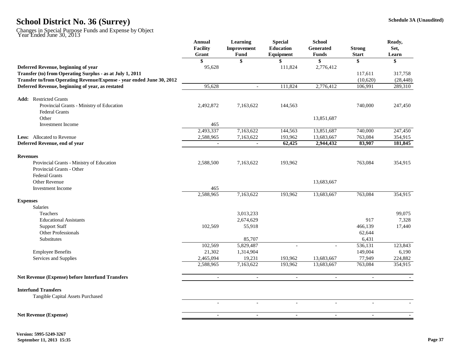|                                                                       | Annual<br>Facility<br>Grant | Learning<br><b>Improvement</b><br>Fund | <b>Special</b><br><b>Education</b><br>Equipment | <b>School</b><br><b>Generated</b><br><b>Funds</b> | <b>Strong</b><br><b>Start</b> | Ready,<br>Set,<br>Learn |
|-----------------------------------------------------------------------|-----------------------------|----------------------------------------|-------------------------------------------------|---------------------------------------------------|-------------------------------|-------------------------|
|                                                                       | \$                          | \$                                     |                                                 | \$                                                | \$                            | \$                      |
| Deferred Revenue, beginning of year                                   | 95,628                      |                                        | 111,824                                         | 2,776,412                                         |                               |                         |
| Transfer (to) from Operating Surplus - as at July 1, 2011             |                             |                                        |                                                 |                                                   | 117,611                       | 317,758                 |
| Transfer to/from Operating Revenue/Expense - year ended June 30, 2012 |                             |                                        |                                                 |                                                   | (10,620)                      | (28, 448)               |
| Deferred Revenue, beginning of year, as restated                      | 95,628                      | $\frac{1}{2}$                          | 111,824                                         | 2,776,412                                         | 106,991                       | 289,310                 |
| <b>Add:</b> Restricted Grants                                         |                             |                                        |                                                 |                                                   |                               |                         |
| Provincial Grants - Ministry of Education<br>Federal Grants           | 2,492,872                   | 7,163,622                              | 144,563                                         |                                                   | 740,000                       | 247,450                 |
| Other                                                                 |                             |                                        |                                                 | 13,851,687                                        |                               |                         |
| <b>Investment Income</b>                                              | 465                         |                                        |                                                 |                                                   |                               |                         |
|                                                                       | 2,493,337                   | 7,163,622                              | 144,563                                         | 13,851,687                                        | 740,000                       | 247,450                 |
| <b>Less:</b> Allocated to Revenue                                     | 2,588,965                   | 7,163,622                              | 193,962                                         | 13,683,667                                        | 763,084                       | 354,915                 |
| Deferred Revenue, end of year                                         | $\blacksquare$              | $\blacksquare$                         | 62,425                                          | 2,944,432                                         | 83,907                        | 181,845                 |
| <b>Revenues</b>                                                       |                             |                                        |                                                 |                                                   |                               |                         |
| Provincial Grants - Ministry of Education                             | 2,588,500                   | 7,163,622                              | 193,962                                         |                                                   | 763,084                       | 354,915                 |
| Provincial Grants - Other                                             |                             |                                        |                                                 |                                                   |                               |                         |
| <b>Federal Grants</b>                                                 |                             |                                        |                                                 |                                                   |                               |                         |
| <b>Other Revenue</b>                                                  |                             |                                        |                                                 | 13,683,667                                        |                               |                         |
| <b>Investment</b> Income                                              | 465                         |                                        |                                                 |                                                   |                               |                         |
|                                                                       | 2,588,965                   | 7,163,622                              | 193,962                                         | 13,683,667                                        | 763,084                       | 354,915                 |
| <b>Expenses</b><br><b>Salaries</b>                                    |                             |                                        |                                                 |                                                   |                               |                         |
| Teachers                                                              |                             | 3,013,233                              |                                                 |                                                   |                               | 99,075                  |
| <b>Educational Assistants</b>                                         |                             | 2,674,629                              |                                                 |                                                   | 917                           | 7,328                   |
| <b>Support Staff</b>                                                  | 102,569                     | 55,918                                 |                                                 |                                                   | 466,139                       | 17,440                  |
| Other Professionals                                                   |                             |                                        |                                                 |                                                   | 62,644                        |                         |
| Substitutes                                                           |                             | 85,707                                 |                                                 |                                                   | 6,431                         |                         |
|                                                                       | 102,569                     | 5,829,487                              | $\overline{\phantom{a}}$                        | $\blacksquare$                                    | 536,131                       | 123,843                 |
| <b>Employee Benefits</b>                                              | 21,302                      | 1,314,904                              |                                                 |                                                   | 149,004                       | 6,190                   |
| Services and Supplies                                                 | 2,465,094                   | 19,231                                 | 193,962                                         | 13,683,667                                        | 77,949                        | 224,882                 |
|                                                                       | 2,588,965                   | 7,163,622                              | 193,962                                         | 13,683,667                                        | 763,084                       | 354,915                 |
| <b>Net Revenue (Expense) before Interfund Transfers</b>               |                             | ÷,                                     |                                                 | $\sim$                                            | $\sim$                        |                         |
| <b>Interfund Transfers</b>                                            |                             |                                        |                                                 |                                                   |                               |                         |
| Tangible Capital Assets Purchased                                     |                             |                                        |                                                 |                                                   |                               |                         |
|                                                                       | $\sim$                      | $\overline{a}$                         | $\overline{a}$                                  | $\overline{a}$                                    | $\overline{a}$                |                         |
| <b>Net Revenue (Expense)</b>                                          | $\sim$                      | $\blacksquare$                         | $\sim$                                          | $\blacksquare$                                    | $\sim$                        |                         |
|                                                                       |                             |                                        |                                                 |                                                   |                               |                         |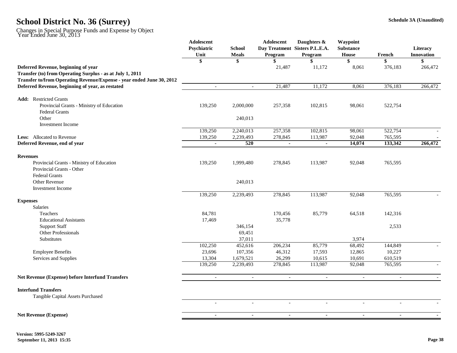|                                                                       | Adolescent<br>Psychiatric<br>Unit | <b>School</b><br><b>Meals</b> | Adolescent<br>Program | Daughters &<br>Day Treatment Sisters P.L.E.A.<br>Program | Waypoint<br><b>Substance</b><br>House | French                   | Literacy<br><b>Innovation</b> |
|-----------------------------------------------------------------------|-----------------------------------|-------------------------------|-----------------------|----------------------------------------------------------|---------------------------------------|--------------------------|-------------------------------|
|                                                                       | \$                                | \$                            | \$                    | \$                                                       | \$                                    | \$                       | \$                            |
| Deferred Revenue, beginning of year                                   |                                   |                               | 21,487                | 11,172                                                   | 8,061                                 | 376,183                  | 266,472                       |
| Transfer (to) from Operating Surplus - as at July 1, 2011             |                                   |                               |                       |                                                          |                                       |                          |                               |
| Transfer to/from Operating Revenue/Expense - year ended June 30, 2012 |                                   |                               |                       |                                                          |                                       |                          |                               |
| Deferred Revenue, beginning of year, as restated                      |                                   |                               | 21,487                | 11,172                                                   | 8,061                                 | 376,183                  | 266,472                       |
| <b>Add:</b> Restricted Grants                                         |                                   |                               |                       |                                                          |                                       |                          |                               |
| Provincial Grants - Ministry of Education                             | 139,250                           | 2,000,000                     | 257,358               | 102,815                                                  | 98,061                                | 522,754                  |                               |
| <b>Federal Grants</b>                                                 |                                   |                               |                       |                                                          |                                       |                          |                               |
| Other                                                                 |                                   | 240,013                       |                       |                                                          |                                       |                          |                               |
| <b>Investment</b> Income                                              |                                   |                               |                       |                                                          |                                       |                          |                               |
|                                                                       | 139,250                           | 2,240,013                     | 257,358               | 102,815                                                  | 98,061                                | 522,754                  |                               |
| <b>Less:</b> Allocated to Revenue                                     | 139,250                           | 2,239,493                     | 278,845               | 113,987                                                  | 92,048                                | 765,595                  |                               |
| Deferred Revenue, end of year                                         |                                   | 520                           |                       |                                                          | 14,074                                | 133,342                  | 266,472                       |
|                                                                       |                                   |                               |                       |                                                          |                                       |                          |                               |
| <b>Revenues</b><br>Provincial Grants - Ministry of Education          | 139,250                           | 1,999,480                     | 278,845               | 113,987                                                  | 92,048                                | 765,595                  |                               |
| Provincial Grants - Other                                             |                                   |                               |                       |                                                          |                                       |                          |                               |
| <b>Federal Grants</b>                                                 |                                   |                               |                       |                                                          |                                       |                          |                               |
| Other Revenue                                                         |                                   | 240,013                       |                       |                                                          |                                       |                          |                               |
| <b>Investment</b> Income                                              |                                   |                               |                       |                                                          |                                       |                          |                               |
|                                                                       | 139,250                           | 2,239,493                     | 278,845               | 113,987                                                  | 92,048                                | 765,595                  |                               |
| <b>Expenses</b>                                                       |                                   |                               |                       |                                                          |                                       |                          |                               |
| <b>Salaries</b>                                                       |                                   |                               |                       |                                                          |                                       |                          |                               |
| Teachers                                                              | 84,781                            |                               | 170,456               | 85,779                                                   | 64,518                                | 142,316                  |                               |
| <b>Educational Assistants</b>                                         | 17,469                            |                               | 35,778                |                                                          |                                       |                          |                               |
| <b>Support Staff</b>                                                  |                                   | 346,154                       |                       |                                                          |                                       | 2,533                    |                               |
| Other Professionals                                                   |                                   | 69,451                        |                       |                                                          |                                       |                          |                               |
| Substitutes                                                           |                                   | 37,011                        |                       |                                                          | 3,974                                 |                          |                               |
|                                                                       | 102,250                           | 452,616                       | 206,234               | 85,779                                                   | 68,492                                | 144,849                  |                               |
| <b>Employee Benefits</b>                                              | 23,696                            | 107,356                       | 46,312                | 17,593                                                   | 12,865                                | 10,227                   |                               |
| Services and Supplies                                                 | 13,304                            | 1,679,521                     | 26,299                | 10,615                                                   | 10,691                                | 610,519                  |                               |
|                                                                       | 139,250                           | 2,239,493                     | 278,845               | 113,987                                                  | 92,048                                | 765,595                  |                               |
| Net Revenue (Expense) before Interfund Transfers                      | $\sim$                            | $\overline{\phantom{a}}$      | $\blacksquare$        | $\blacksquare$                                           | $\sim$                                | $\overline{\phantom{a}}$ | $\sim$                        |
| <b>Interfund Transfers</b>                                            |                                   |                               |                       |                                                          |                                       |                          |                               |
| Tangible Capital Assets Purchased                                     |                                   |                               |                       |                                                          |                                       |                          |                               |
|                                                                       | $\sim$                            | $\sim$                        | $\sim$                | $\sim$                                                   | $\sim$                                | $\sim$                   |                               |
| <b>Net Revenue (Expense)</b>                                          | $\blacksquare$                    | $\blacksquare$                | $\sim$                | $\sim$                                                   | $\sim$                                | $\sim$                   | $\sim$                        |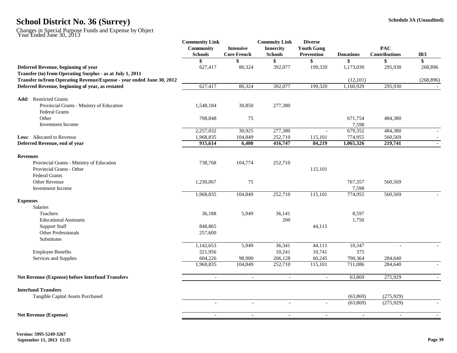|                                                                                                                                    | <b>Community Link</b><br>Community<br><b>Schools</b> | <b>Intensive</b><br><b>Core French</b> | <b>Commuity Link</b><br><b>Innercity</b><br><b>Schools</b> | <b>Diverse</b><br><b>Youth Gang</b><br>Prevention | <b>Donations</b>       | <b>PAC</b><br><b>Contributions</b> | IR <sub>3</sub> |
|------------------------------------------------------------------------------------------------------------------------------------|------------------------------------------------------|----------------------------------------|------------------------------------------------------------|---------------------------------------------------|------------------------|------------------------------------|-----------------|
|                                                                                                                                    |                                                      |                                        | \$                                                         |                                                   | \$                     |                                    | \$              |
| Deferred Revenue, beginning of year                                                                                                | 627,417                                              | 80,324                                 | 392,077                                                    | 199,320                                           | 1,173,030              | 295,930                            | 268,896         |
| Transfer (to) from Operating Surplus - as at July 1, 2011<br>Transfer to/from Operating Revenue/Expense - year ended June 30, 2012 |                                                      |                                        |                                                            |                                                   | (12,101)               |                                    | (268, 896)      |
| Deferred Revenue, beginning of year, as restated                                                                                   | 627,417                                              | 80,324                                 | 392,077                                                    | 199,320                                           | 1,160,929              | 295,930                            |                 |
| <b>Add:</b> Restricted Grants                                                                                                      |                                                      |                                        |                                                            |                                                   |                        |                                    |                 |
| Provincial Grants - Ministry of Education<br><b>Federal Grants</b>                                                                 | 1,548,184                                            | 30,850                                 | 277,380                                                    |                                                   |                        |                                    |                 |
| Other                                                                                                                              | 708,848                                              | 75                                     |                                                            |                                                   | 671,754                | 484,380                            |                 |
| <b>Investment</b> Income                                                                                                           |                                                      |                                        |                                                            |                                                   | 7,598                  |                                    |                 |
|                                                                                                                                    | 2,257,032                                            | 30,925                                 | 277,380                                                    | $\overline{a}$                                    | 679,352                | 484,380                            |                 |
| <b>Less:</b> Allocated to Revenue                                                                                                  | 1,968,835                                            | 104,849                                | 252,710                                                    | 115,101                                           | 774,955                | 560,569                            |                 |
| Deferred Revenue, end of year                                                                                                      | 915,614                                              | 6,400                                  | 416,747                                                    | 84,219                                            | 1,065,326              | 219,741                            |                 |
| <b>Revenues</b>                                                                                                                    |                                                      |                                        |                                                            |                                                   |                        |                                    |                 |
| Provincial Grants - Ministry of Education                                                                                          | 738,768                                              | 104,774                                | 252,710                                                    |                                                   |                        |                                    |                 |
| <b>Provincial Grants - Other</b>                                                                                                   |                                                      |                                        |                                                            | 115,101                                           |                        |                                    |                 |
| <b>Federal Grants</b>                                                                                                              |                                                      |                                        |                                                            |                                                   |                        |                                    |                 |
| Other Revenue                                                                                                                      | 1,230,067                                            | 75                                     |                                                            |                                                   | 767,357                | 560,569                            |                 |
| <b>Investment</b> Income                                                                                                           |                                                      |                                        |                                                            |                                                   | 7,598                  |                                    |                 |
|                                                                                                                                    | 1,968,835                                            | 104,849                                | 252,710                                                    | 115,101                                           | 774,955                | 560,569                            |                 |
| <b>Expenses</b>                                                                                                                    |                                                      |                                        |                                                            |                                                   |                        |                                    |                 |
| Salaries                                                                                                                           |                                                      |                                        |                                                            |                                                   |                        |                                    |                 |
| Teachers                                                                                                                           | 36,188                                               | 5,949                                  | 36,141                                                     |                                                   | 8,597                  |                                    |                 |
| <b>Educational Assistants</b>                                                                                                      |                                                      |                                        | 200                                                        |                                                   | 1,750                  |                                    |                 |
| <b>Support Staff</b>                                                                                                               | 848,865                                              |                                        |                                                            | 44,115                                            |                        |                                    |                 |
| Other Professionals                                                                                                                | 257,600                                              |                                        |                                                            |                                                   |                        |                                    |                 |
| Substitutes                                                                                                                        |                                                      |                                        |                                                            |                                                   |                        |                                    |                 |
|                                                                                                                                    | 1,142,653                                            | 5,949                                  | 36,341                                                     | 44,115                                            | 10,347                 |                                    |                 |
| <b>Employee Benefits</b>                                                                                                           | 221,956                                              |                                        | 10,241                                                     | 10,741                                            | 375                    |                                    |                 |
| Services and Supplies                                                                                                              | 604,226<br>1,968,835                                 | 98,900<br>104,849                      | 206,128<br>252,710                                         | 60,245<br>115,101                                 | 700,364<br>711,086     | 284,640<br>284,640                 |                 |
|                                                                                                                                    |                                                      |                                        |                                                            |                                                   |                        |                                    |                 |
| Net Revenue (Expense) before Interfund Transfers                                                                                   | $\blacksquare$                                       | $\blacksquare$                         | $\overline{\phantom{a}}$                                   | $\overline{\phantom{a}}$                          | 63,869                 | 275,929                            | $\sim$          |
| <b>Interfund Transfers</b>                                                                                                         |                                                      |                                        |                                                            |                                                   |                        |                                    |                 |
| Tangible Capital Assets Purchased                                                                                                  | $\blacksquare$                                       | $\overline{\phantom{a}}$               | $\overline{\phantom{a}}$                                   | $\overline{\phantom{a}}$                          | (63, 869)<br>(63, 869) | (275, 929)<br>(275, 929)           |                 |
|                                                                                                                                    |                                                      |                                        |                                                            |                                                   |                        |                                    |                 |
| <b>Net Revenue (Expense)</b>                                                                                                       | $\sim$                                               | $\blacksquare$                         | $\blacksquare$                                             | $\sim$                                            | $\sim$                 | $\sim$                             |                 |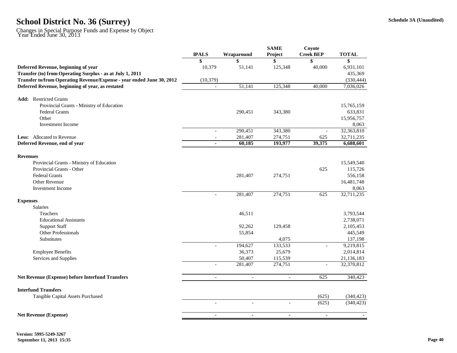|                                                                       |                          |                          | <b>SAME</b>              | Coyote           |              |
|-----------------------------------------------------------------------|--------------------------|--------------------------|--------------------------|------------------|--------------|
|                                                                       | <b>IPALS</b>             | Wraparound               | Project                  | <b>Creek BEP</b> | <b>TOTAL</b> |
|                                                                       | \$                       | \$                       | \$                       | \$               | \$           |
| Deferred Revenue, beginning of year                                   | 10,379                   | 51,141                   | 125,348                  | 40,000           | 6,931,101    |
| Transfer (to) from Operating Surplus - as at July 1, 2011             |                          |                          |                          |                  | 435,369      |
| Transfer to/from Operating Revenue/Expense - year ended June 30, 2012 | (10, 379)                |                          |                          |                  | (330, 444)   |
| Deferred Revenue, beginning of year, as restated                      |                          | 51,141                   | 125,348                  | 40.000           | 7,036,026    |
| <b>Add:</b> Restricted Grants                                         |                          |                          |                          |                  |              |
| Provincial Grants - Ministry of Education                             |                          |                          |                          |                  | 15,765,159   |
| <b>Federal Grants</b>                                                 |                          | 290,451                  | 343,380                  |                  | 633,831      |
| Other                                                                 |                          |                          |                          |                  | 15,956,757   |
| <b>Investment</b> Income                                              |                          |                          |                          |                  | 8,063        |
|                                                                       | $\equiv$                 | 290,451                  | 343,380                  | $\blacksquare$   | 32,363,810   |
| <b>Less:</b> Allocated to Revenue                                     |                          | 281,407                  | 274,751                  | 625              | 32,711,235   |
| Deferred Revenue, end of year                                         | $\mathbf{r}$             | 60,185                   | 193,977                  | 39,375           | 6,688,601    |
| <b>Revenues</b>                                                       |                          |                          |                          |                  |              |
| Provincial Grants - Ministry of Education                             |                          |                          |                          |                  | 15,549,540   |
| Provincial Grants - Other                                             |                          |                          |                          | 625              | 115,726      |
| <b>Federal Grants</b>                                                 |                          | 281,407                  | 274,751                  |                  | 556,158      |
| Other Revenue                                                         |                          |                          |                          |                  | 16,481,748   |
| <b>Investment Income</b>                                              |                          |                          |                          |                  | 8,063        |
|                                                                       | $\sim$                   | 281,407                  | 274,751                  | 625              | 32,711,235   |
| <b>Expenses</b>                                                       |                          |                          |                          |                  |              |
| Salaries                                                              |                          |                          |                          |                  |              |
| Teachers                                                              |                          | 46,511                   |                          |                  | 3,793,544    |
| <b>Educational Assistants</b>                                         |                          |                          |                          |                  | 2,738,071    |
| <b>Support Staff</b>                                                  |                          | 92,262                   | 129,458                  |                  | 2,105,453    |
| Other Professionals                                                   |                          | 55,854                   |                          |                  | 445,549      |
| <b>Substitutes</b>                                                    |                          |                          | 4,075                    |                  | 137,198      |
|                                                                       | $\sim$                   | 194,627                  | 133,533                  | $\sim$           | 9,219,815    |
| <b>Employee Benefits</b>                                              |                          | 36,373                   | 25,679                   |                  | 2,014,814    |
| Services and Supplies                                                 |                          | 50,407                   | 115,539                  |                  | 21,136,183   |
|                                                                       | $\overline{a}$           | 281,407                  | 274,751                  |                  | 32,370,812   |
| <b>Net Revenue (Expense) before Interfund Transfers</b>               | $\blacksquare$           | $\blacksquare$           | $\overline{\phantom{a}}$ | 625              | 340,423      |
| <b>Interfund Transfers</b>                                            |                          |                          |                          |                  |              |
| Tangible Capital Assets Purchased                                     |                          |                          |                          | (625)            | (340, 423)   |
|                                                                       | $\overline{\phantom{a}}$ | $\overline{\phantom{a}}$ | $\overline{\phantom{a}}$ | (625)            | (340, 423)   |
| <b>Net Revenue (Expense)</b>                                          | $\blacksquare$           | $\ddot{\phantom{a}}$     | $\blacksquare$           | $\blacksquare$   |              |
|                                                                       |                          |                          |                          |                  |              |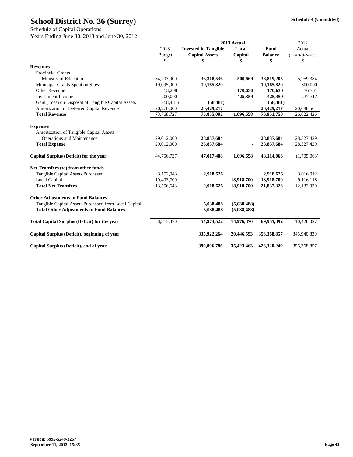Schedule of Capital Operations

Years Ending June 30, 2013 and June 30, 2012

|                                                      |               | 2013 Actual                 | 2012           |                |                   |
|------------------------------------------------------|---------------|-----------------------------|----------------|----------------|-------------------|
|                                                      | 2013          | <b>Invested in Tangible</b> | Local          | Fund           | Actual            |
|                                                      | <b>Budget</b> | <b>Capital Assets</b>       | Capital        | <b>Balance</b> | (Restated-Note 2) |
|                                                      | \$            | \$                          | \$             | \$             | \$                |
| <b>Revenues</b>                                      |               |                             |                |                |                   |
| <b>Provincial Grants</b>                             |               |                             |                |                |                   |
| Ministry of Education                                | 34,203,000    | 36,318,536                  | 500,669        | 36,819,205     | 5,959,384         |
| Municipal Grants Spent on Sites                      | 19,095,000    | 19,165,820                  |                | 19,165,820     | 300,000           |
| <b>Other Revenue</b>                                 | 53,208        |                             | 170,630        | 170,630        | 36,761            |
| <b>Investment Income</b>                             | 200,000       |                             | 425,359        | 425,359        | 237,717           |
| Gain (Loss) on Disposal of Tangible Capital Assets   | (58, 481)     | (58, 481)                   |                | (58, 481)      |                   |
| Amortization of Deferred Capital Revenue             | 20,276,000    | 20,429,217                  |                | 20,429,217     | 20,088,564        |
| <b>Total Revenue</b>                                 | 73,768,727    | 75,855,092                  | 1,096,658      | 76,951,750     | 26,622,426        |
|                                                      |               |                             |                |                |                   |
| <b>Expenses</b>                                      |               |                             |                |                |                   |
| Amortization of Tangible Capital Assets              |               |                             |                |                |                   |
| Operations and Maintenance                           | 29,012,000    | 28,837,684                  |                | 28,837,684     | 28,327,429        |
| <b>Total Expense</b>                                 | 29.012.000    | 28,837,684                  | $\blacksquare$ | 28,837,684     | 28,327,429        |
| Capital Surplus (Deficit) for the year               | 44,756,727    | 47,017,408                  | 1,096,658      | 48,114,066     | (1,705,003)       |
| Net Transfers (to) from other funds                  |               |                             |                |                |                   |
| Tangible Capital Assets Purchased                    | 3,152,943     | 2,918,626                   |                | 2,918,626      | 3,016,912         |
| Local Capital                                        | 10,403,700    |                             | 18,918,700     | 18,918,700     | 9,116,118         |
| <b>Total Net Transfers</b>                           | 13,556,643    | 2,918,626                   | 18,918,700     | 21,837,326     | 12,133,030        |
|                                                      |               |                             |                |                |                   |
| <b>Other Adjustments to Fund Balances</b>            |               |                             |                |                |                   |
| Tangible Capital Assets Purchased from Local Capital |               | 5,038,488                   | (5,038,488)    |                |                   |
| <b>Total Other Adjustments to Fund Balances</b>      |               | 5,038,488                   | (5,038,488)    |                |                   |
| <b>Total Capital Surplus (Deficit) for the year</b>  | 58,313,370    | 54,974,522                  | 14,976,870     | 69,951,392     | 10,428,027        |
|                                                      |               |                             |                |                |                   |
| Capital Surplus (Deficit), beginning of year         |               | 335,922,264                 | 20,446,593     | 356, 368, 857  | 345,940,830       |
| Capital Surplus (Deficit), end of year               |               | 390,896,786                 | 35,423,463     | 426,320,249    | 356,368,857       |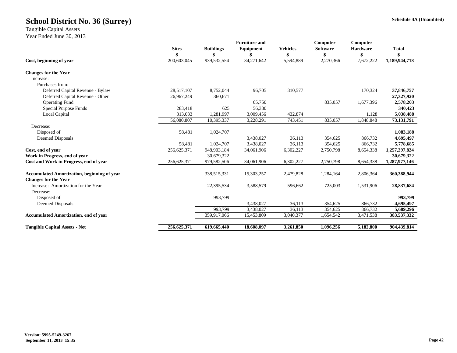Tangible Capital Assets

Year Ended June 30, 2013

|             |                             | <b>Furniture and</b>                 |                         | Computer                          | Computer                           |                             |
|-------------|-----------------------------|--------------------------------------|-------------------------|-----------------------------------|------------------------------------|-----------------------------|
|             |                             |                                      |                         |                                   |                                    | <b>Total</b>                |
|             |                             |                                      |                         |                                   |                                    |                             |
|             |                             |                                      |                         |                                   |                                    | 1,189,944,718               |
|             |                             |                                      |                         |                                   |                                    |                             |
|             |                             |                                      |                         |                                   |                                    |                             |
|             |                             |                                      |                         |                                   |                                    |                             |
| 28,517,107  | 8,752,044                   | 96,705                               | 310,577                 |                                   | 170,324                            | 37,846,757                  |
| 26,967,249  | 360,671                     |                                      |                         |                                   |                                    | 27,327,920                  |
|             |                             | 65,750                               |                         | 835,057                           | 1,677,396                          | 2,578,203                   |
| 283,418     | 625                         | 56,380                               |                         |                                   |                                    | 340,423                     |
| 313,033     | 1,281,997                   | 3,009,456                            | 432,874                 |                                   | 1,128                              | 5,038,488                   |
| 56,080,807  | 10,395,337                  | 3,228,291                            | 743,451                 | 835,057                           | 1,848,848                          | 73,131,791                  |
|             |                             |                                      |                         |                                   |                                    |                             |
| 58,481      | 1,024,707                   |                                      |                         |                                   |                                    | 1,083,188                   |
|             |                             | 3,438,027                            | 36,113                  | 354,625                           | 866,732                            | 4,695,497                   |
| 58,481      | 1.024.707                   | 3.438,027                            | 36.113                  | 354,625                           | 866,732                            | 5,778,685                   |
| 256,625,371 | 948,903,184                 | 34,061,906                           | 6,302,227               | 2,750,798                         | 8,654,338                          | 1,257,297,824               |
|             | 30.679.322                  |                                      |                         |                                   |                                    | 30,679,322                  |
| 256,625,371 | 979,582,506                 | 34,061,906                           | 6,302,227               | 2,750,798                         | 8,654,338                          | 1,287,977,146               |
|             | 338,515,331                 | 15,303,257                           | 2,479,828               | 1,284,164                         | 2,806,364                          | 360,388,944                 |
|             |                             |                                      |                         |                                   |                                    |                             |
|             | 22,395,534                  | 3,588,579                            | 596,662                 | 725,003                           | 1,531,906                          | 28,837,684                  |
|             |                             |                                      |                         |                                   |                                    |                             |
|             | 993,799                     |                                      |                         |                                   |                                    | 993,799                     |
|             |                             | 3,438,027                            | 36,113                  | 354,625                           | 866,732                            | 4,695,497                   |
|             | 993,799                     | 3,438,027                            | 36,113                  | 354,625                           | 866,732                            | 5,689,296                   |
|             | 359,917,066                 | 15,453,809                           | 3,040,377               | 1,654,542                         | 3,471,538                          | 383,537,332                 |
| 256,625,371 | 619,665,440                 | 18,608,097                           | 3,261,850               | 1,096,256                         | 5,182,800                          | 904,439,814                 |
|             | <b>Sites</b><br>200,603,045 | <b>Buildings</b><br>S<br>939,532,554 | Equipment<br>34,271,642 | <b>Vehicles</b><br>S<br>5,594,889 | <b>Software</b><br>\$<br>2,270,366 | Hardware<br>\$<br>7,672,222 |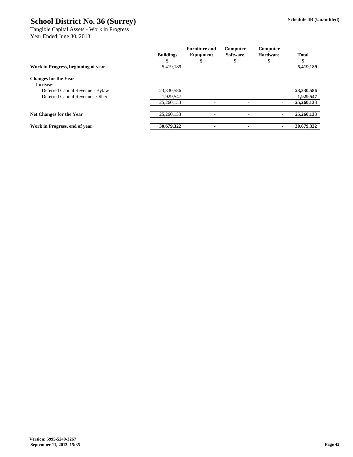Tangible Capital Assets - Work in Progress Year Ended June 30, 2013

|                                     |                  | <b>Furniture and</b> | Computer        | Computer        |              |
|-------------------------------------|------------------|----------------------|-----------------|-----------------|--------------|
|                                     | <b>Buildings</b> | Equipment            | <b>Software</b> | <b>Hardware</b> | <b>Total</b> |
|                                     |                  |                      |                 |                 |              |
| Work in Progress, beginning of year | 5,419,189        |                      |                 |                 | 5,419,189    |
| <b>Changes for the Year</b>         |                  |                      |                 |                 |              |
| Increase:                           |                  |                      |                 |                 |              |
| Deferred Capital Revenue - Bylaw    | 23,330,586       |                      |                 |                 | 23,330,586   |
| Deferred Capital Revenue - Other    | 1,929,547        |                      |                 |                 | 1,929,547    |
|                                     | 25,260,133       |                      | ۰               |                 | 25,260,133   |
| Net Changes for the Year            | 25,260,133       |                      |                 |                 | 25,260,133   |
|                                     |                  |                      |                 |                 |              |
| Work in Progress, end of year       | 30,679,322       |                      |                 |                 | 30,679,322   |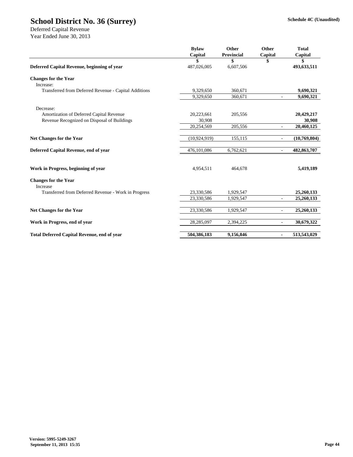|                                                       | <b>Bylaw</b><br>Capital | Other<br><b>Provincial</b> | Other<br>Capital         | <b>Total</b><br>Capital |
|-------------------------------------------------------|-------------------------|----------------------------|--------------------------|-------------------------|
|                                                       | \$                      | \$                         |                          | \$                      |
| Deferred Capital Revenue, beginning of year           | 487,026,005             | 6,607,506                  |                          | 493,633,511             |
| <b>Changes for the Year</b><br>Increase:              |                         |                            |                          |                         |
| Transferred from Deferred Revenue - Capital Additions | 9,329,650               | 360,671                    |                          | 9,690,321               |
|                                                       | 9,329,650               | 360,671                    | $\overline{a}$           | 9,690,321               |
| Decrease:                                             |                         |                            |                          |                         |
| Amortization of Deferred Capital Revenue              | 20,223,661              | 205,556                    |                          | 20,429,217              |
| Revenue Recognized on Disposal of Buildings           | 30,908                  |                            |                          | 30,908                  |
|                                                       | 20,254,569              | 205,556                    | $\overline{\phantom{a}}$ | 20,460,125              |
| Net Changes for the Year                              | (10, 924, 919)          | 155,115                    | $\overline{\phantom{a}}$ | (10,769,804)            |
| Deferred Capital Revenue, end of year                 | 476,101,086             | 6,762,621                  | $\mathbf{r}$             | 482,863,707             |
| Work in Progress, beginning of year                   | 4,954,511               | 464,678                    |                          | 5,419,189               |
| <b>Changes for the Year</b><br>Increase               |                         |                            |                          |                         |
| Transferred from Deferred Revenue - Work in Progress  | 23,330,586              | 1,929,547                  |                          | 25,260,133              |
|                                                       | 23,330,586              | 1,929,547                  | L,                       | 25,260,133              |
| <b>Net Changes for the Year</b>                       | 23,330,586              | 1,929,547                  | $\overline{\phantom{a}}$ | 25,260,133              |
| Work in Progress, end of year                         | 28,285,097              | 2,394,225                  | L,                       | 30,679,322              |
| <b>Total Deferred Capital Revenue, end of year</b>    | 504,386,183             | 9,156,846                  | $\blacksquare$           | 513,543,029             |